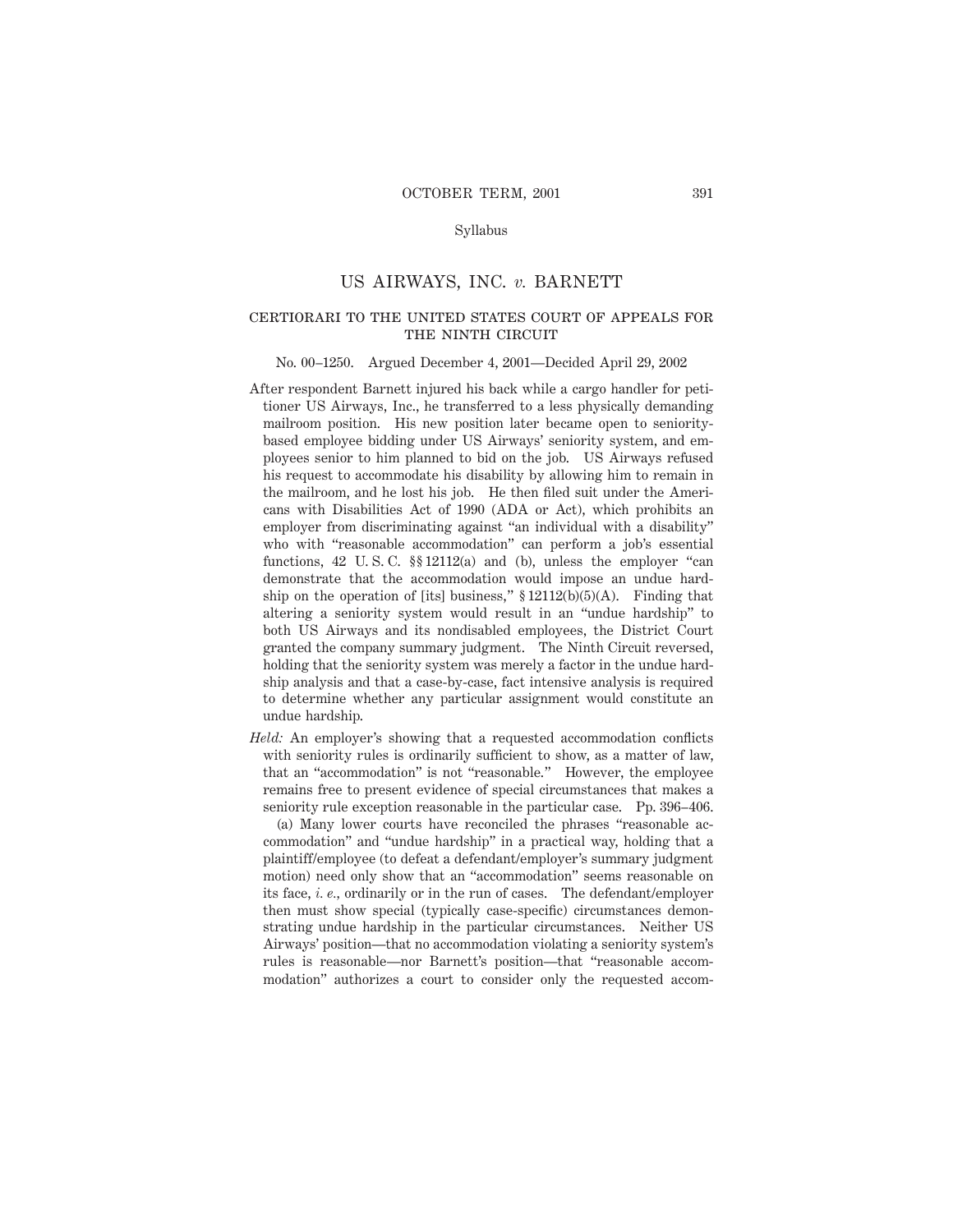#### Syllabus

## US AIRWAYS, INC. *v.* BARNETT

# certiorari to the united states court of appeals for THE NINTH CIRCUIT

#### No. 00–1250. Argued December 4, 2001—Decided April 29, 2002

- After respondent Barnett injured his back while a cargo handler for petitioner US Airways, Inc., he transferred to a less physically demanding mailroom position. His new position later became open to senioritybased employee bidding under US Airways' seniority system, and employees senior to him planned to bid on the job. US Airways refused his request to accommodate his disability by allowing him to remain in the mailroom, and he lost his job. He then filed suit under the Americans with Disabilities Act of 1990 (ADA or Act), which prohibits an employer from discriminating against "an individual with a disability" who with "reasonable accommodation" can perform a job's essential functions, 42 U. S. C. §§ 12112(a) and (b), unless the employer "can demonstrate that the accommodation would impose an undue hardship on the operation of [its] business,"  $$12112(b)(5)(A)$ . Finding that altering a seniority system would result in an "undue hardship" to both US Airways and its nondisabled employees, the District Court granted the company summary judgment. The Ninth Circuit reversed, holding that the seniority system was merely a factor in the undue hardship analysis and that a case-by-case, fact intensive analysis is required to determine whether any particular assignment would constitute an undue hardship.
- *Held:* An employer's showing that a requested accommodation conflicts with seniority rules is ordinarily sufficient to show, as a matter of law, that an "accommodation" is not "reasonable." However, the employee remains free to present evidence of special circumstances that makes a seniority rule exception reasonable in the particular case. Pp. 396–406.

(a) Many lower courts have reconciled the phrases "reasonable accommodation" and "undue hardship" in a practical way, holding that a plaintiff/employee (to defeat a defendant/employer's summary judgment motion) need only show that an "accommodation" seems reasonable on its face, *i. e.,* ordinarily or in the run of cases. The defendant/employer then must show special (typically case-specific) circumstances demonstrating undue hardship in the particular circumstances. Neither US Airways' position—that no accommodation violating a seniority system's rules is reasonable—nor Barnett's position—that "reasonable accommodation" authorizes a court to consider only the requested accom-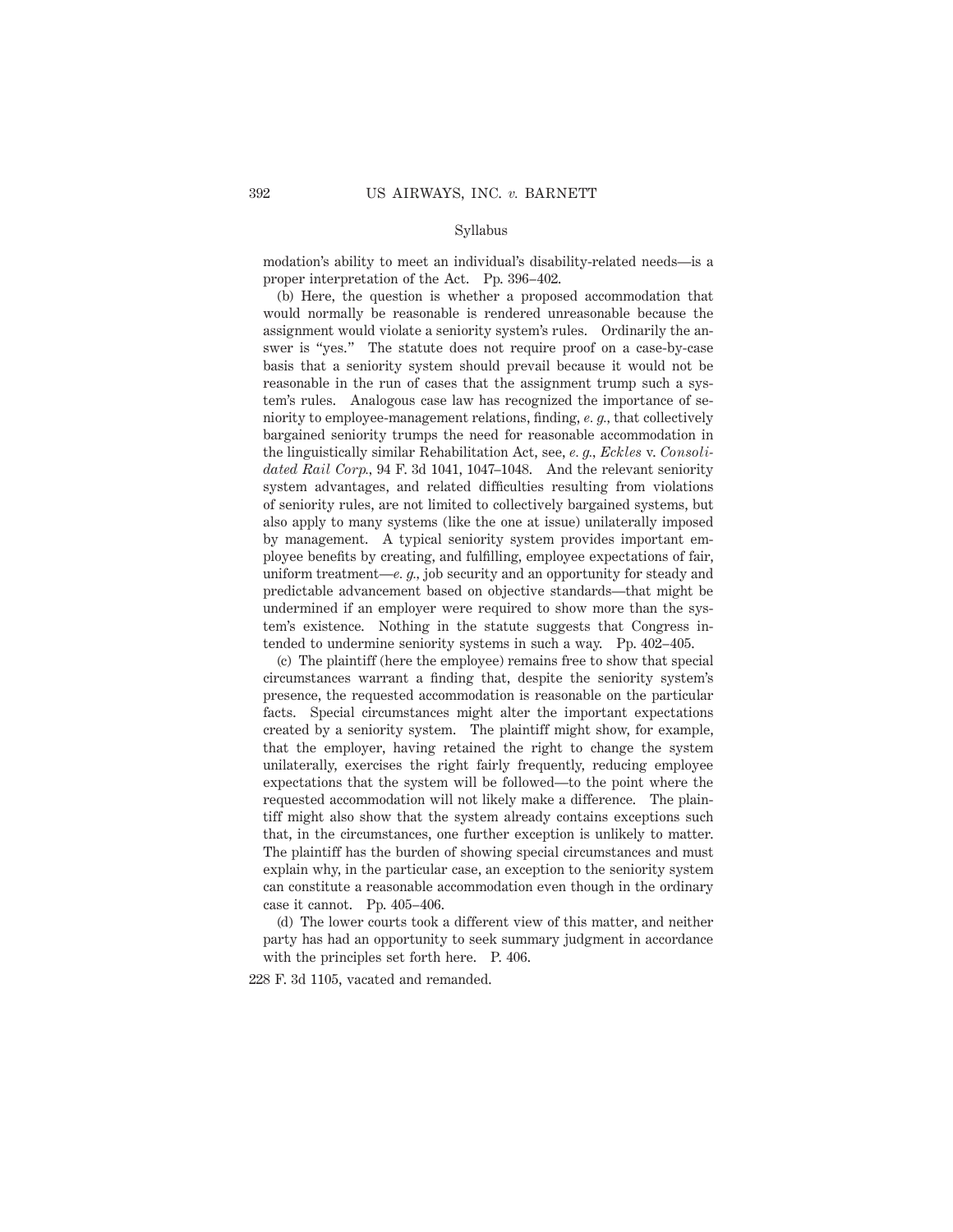#### Syllabus

modation's ability to meet an individual's disability-related needs—is a proper interpretation of the Act. Pp. 396–402.

(b) Here, the question is whether a proposed accommodation that would normally be reasonable is rendered unreasonable because the assignment would violate a seniority system's rules. Ordinarily the answer is "yes." The statute does not require proof on a case-by-case basis that a seniority system should prevail because it would not be reasonable in the run of cases that the assignment trump such a system's rules. Analogous case law has recognized the importance of seniority to employee-management relations, finding, *e. g.,* that collectively bargained seniority trumps the need for reasonable accommodation in the linguistically similar Rehabilitation Act, see, *e. g., Eckles* v. *Consolidated Rail Corp.,* 94 F. 3d 1041, 1047–1048. And the relevant seniority system advantages, and related difficulties resulting from violations of seniority rules, are not limited to collectively bargained systems, but also apply to many systems (like the one at issue) unilaterally imposed by management. A typical seniority system provides important employee benefits by creating, and fulfilling, employee expectations of fair, uniform treatment—*e. g.,* job security and an opportunity for steady and predictable advancement based on objective standards—that might be undermined if an employer were required to show more than the system's existence. Nothing in the statute suggests that Congress intended to undermine seniority systems in such a way. Pp. 402–405.

(c) The plaintiff (here the employee) remains free to show that special circumstances warrant a finding that, despite the seniority system's presence, the requested accommodation is reasonable on the particular facts. Special circumstances might alter the important expectations created by a seniority system. The plaintiff might show, for example, that the employer, having retained the right to change the system unilaterally, exercises the right fairly frequently, reducing employee expectations that the system will be followed—to the point where the requested accommodation will not likely make a difference. The plaintiff might also show that the system already contains exceptions such that, in the circumstances, one further exception is unlikely to matter. The plaintiff has the burden of showing special circumstances and must explain why, in the particular case, an exception to the seniority system can constitute a reasonable accommodation even though in the ordinary case it cannot. Pp. 405–406.

(d) The lower courts took a different view of this matter, and neither party has had an opportunity to seek summary judgment in accordance with the principles set forth here. P. 406.

228 F. 3d 1105, vacated and remanded.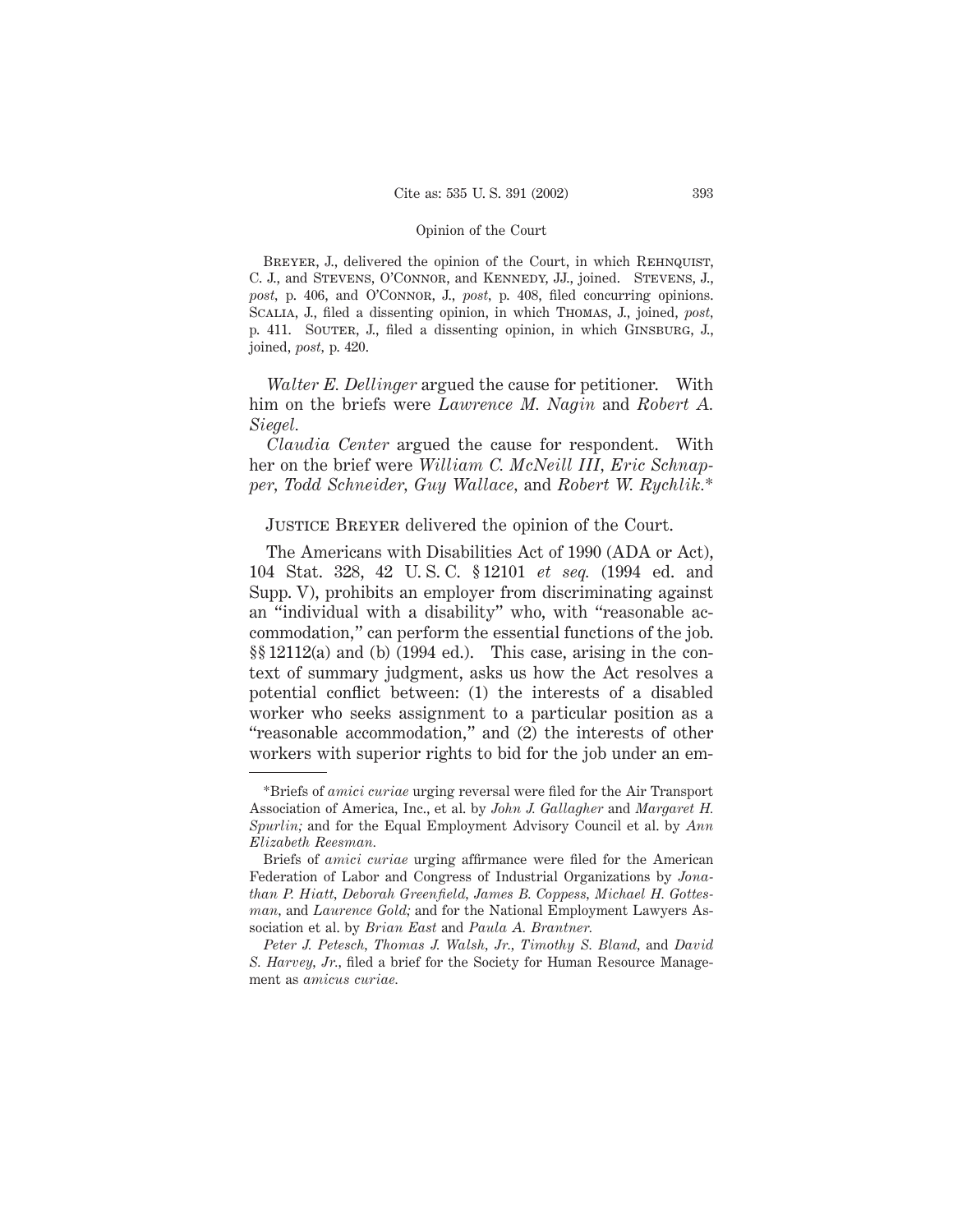BREYER, J., delivered the opinion of the Court, in which REHNQUIST, C. J., and Stevens, O'Connor, and Kennedy, JJ., joined. Stevens, J., post, p. 406, and O'CONNOR, J., post, p. 408, filed concurring opinions. Scalia, J., filed a dissenting opinion, in which Thomas, J., joined, *post,* p. 411. SOUTER, J., filed a dissenting opinion, in which GINSBURG, J., joined, *post,* p. 420.

*Walter E. Dellinger* argued the cause for petitioner. With him on the briefs were *Lawrence M. Nagin* and *Robert A. Siegel.*

*Claudia Center* argued the cause for respondent. With her on the brief were *William C. McNeill III, Eric Schnapper, Todd Schneider, Guy Wallace,* and *Robert W. Rychlik.*\*

# Justice Breyer delivered the opinion of the Court.

The Americans with Disabilities Act of 1990 (ADA or Act), 104 Stat. 328, 42 U. S. C. § 12101 *et seq.* (1994 ed. and Supp. V), prohibits an employer from discriminating against an "individual with a disability" who, with "reasonable accommodation," can perform the essential functions of the job. §§ 12112(a) and (b) (1994 ed.). This case, arising in the context of summary judgment, asks us how the Act resolves a potential conflict between: (1) the interests of a disabled worker who seeks assignment to a particular position as a "reasonable accommodation," and (2) the interests of other workers with superior rights to bid for the job under an em-

<sup>\*</sup>Briefs of *amici curiae* urging reversal were filed for the Air Transport Association of America, Inc., et al. by *John J. Gallagher* and *Margaret H. Spurlin;* and for the Equal Employment Advisory Council et al. by *Ann Elizabeth Reesman.*

Briefs of *amici curiae* urging affirmance were filed for the American Federation of Labor and Congress of Industrial Organizations by *Jonathan P. Hiatt, Deborah Greenfield, James B. Coppess, Michael H. Gottesman,* and *Laurence Gold;* and for the National Employment Lawyers Association et al. by *Brian East* and *Paula A. Brantner.*

*Peter J. Petesch, Thomas J. Walsh, Jr., Timothy S. Bland,* and *David S. Harvey, Jr.,* filed a brief for the Society for Human Resource Management as *amicus curiae.*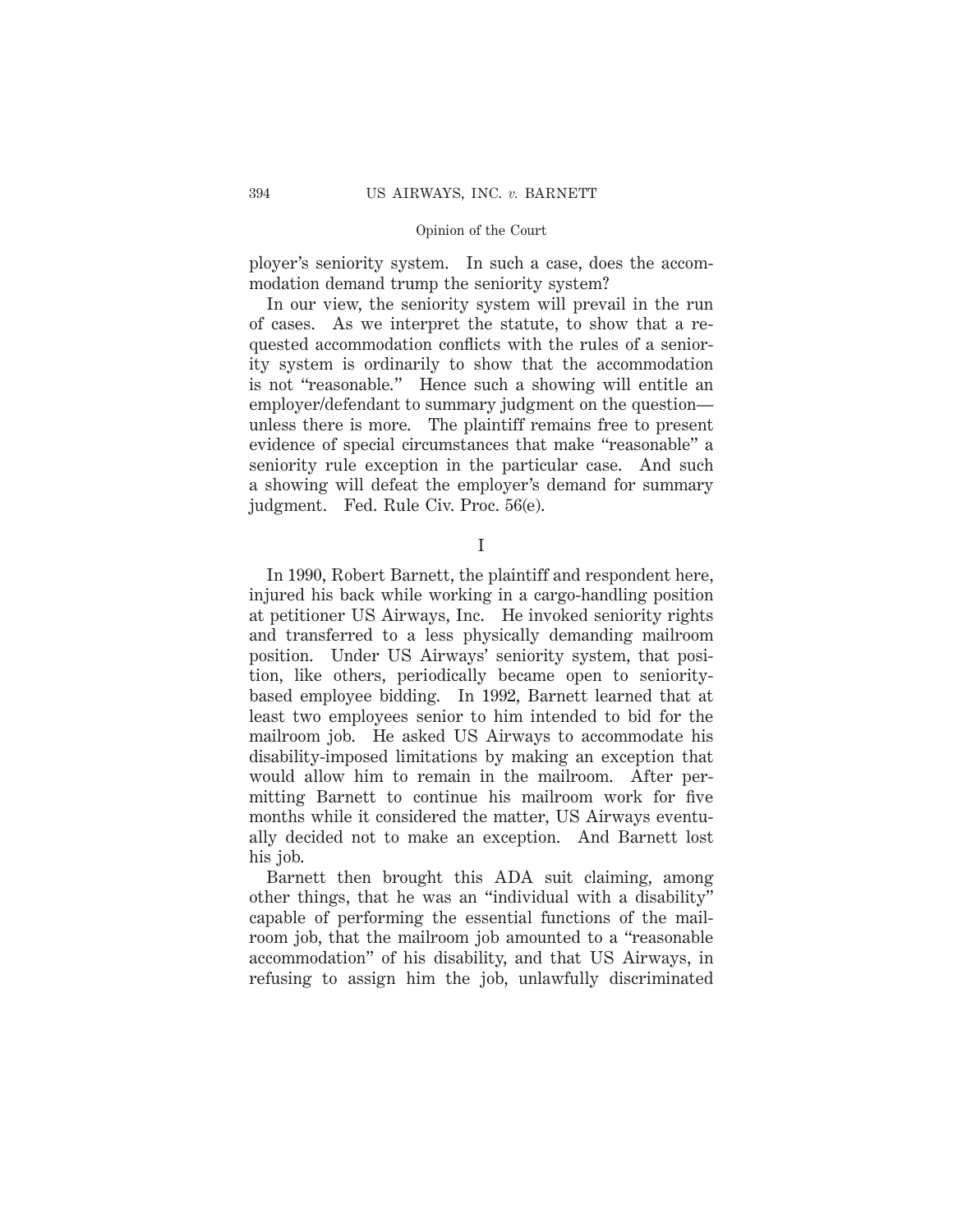ployer's seniority system. In such a case, does the accommodation demand trump the seniority system?

In our view, the seniority system will prevail in the run of cases. As we interpret the statute, to show that a requested accommodation conflicts with the rules of a seniority system is ordinarily to show that the accommodation is not "reasonable." Hence such a showing will entitle an employer/defendant to summary judgment on the question unless there is more. The plaintiff remains free to present evidence of special circumstances that make "reasonable" a seniority rule exception in the particular case. And such a showing will defeat the employer's demand for summary judgment. Fed. Rule Civ. Proc. 56(e).

I

In 1990, Robert Barnett, the plaintiff and respondent here, injured his back while working in a cargo-handling position at petitioner US Airways, Inc. He invoked seniority rights and transferred to a less physically demanding mailroom position. Under US Airways' seniority system, that position, like others, periodically became open to senioritybased employee bidding. In 1992, Barnett learned that at least two employees senior to him intended to bid for the mailroom job. He asked US Airways to accommodate his disability-imposed limitations by making an exception that would allow him to remain in the mailroom. After permitting Barnett to continue his mailroom work for five months while it considered the matter, US Airways eventually decided not to make an exception. And Barnett lost his *job*.

Barnett then brought this ADA suit claiming, among other things, that he was an "individual with a disability" capable of performing the essential functions of the mailroom job, that the mailroom job amounted to a "reasonable accommodation" of his disability, and that US Airways, in refusing to assign him the job, unlawfully discriminated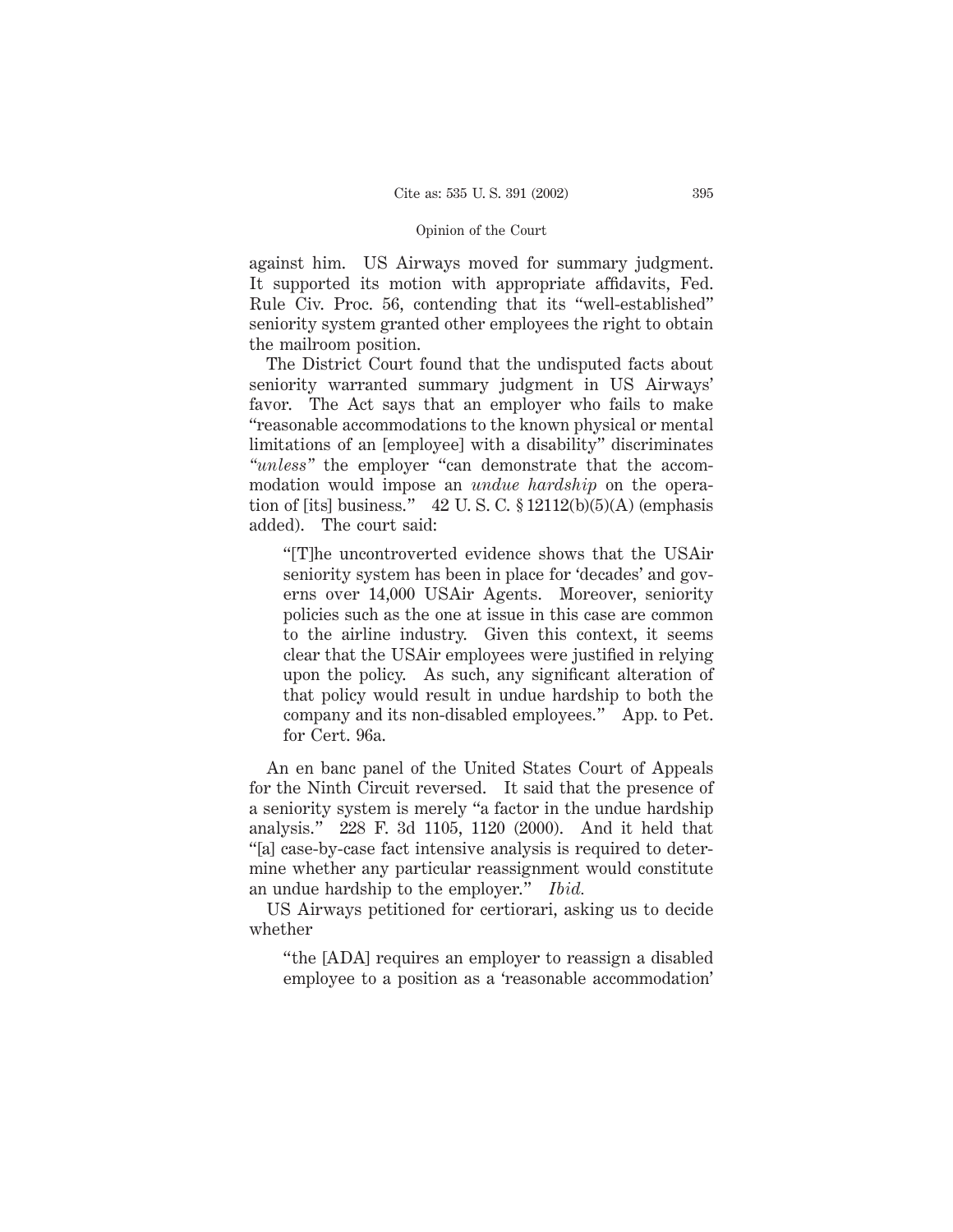against him. US Airways moved for summary judgment. It supported its motion with appropriate affidavits, Fed. Rule Civ. Proc. 56, contending that its "well-established" seniority system granted other employees the right to obtain the mailroom position.

The District Court found that the undisputed facts about seniority warranted summary judgment in US Airways' favor. The Act says that an employer who fails to make "reasonable accommodations to the known physical or mental limitations of an [employee] with a disability" discriminates *"unless"* the employer "can demonstrate that the accommodation would impose an *undue hardship* on the operation of [its] business."  $42 \text{ U.S. C. } $12112(b)(5)(\text{A})$  (emphasis added). The court said:

"[T]he uncontroverted evidence shows that the USAir seniority system has been in place for 'decades' and governs over 14,000 USAir Agents. Moreover, seniority policies such as the one at issue in this case are common to the airline industry. Given this context, it seems clear that the USAir employees were justified in relying upon the policy. As such, any significant alteration of that policy would result in undue hardship to both the company and its non-disabled employees." App. to Pet. for Cert. 96a.

An en banc panel of the United States Court of Appeals for the Ninth Circuit reversed. It said that the presence of a seniority system is merely "a factor in the undue hardship analysis." 228 F. 3d 1105, 1120 (2000). And it held that "[a] case-by-case fact intensive analysis is required to determine whether any particular reassignment would constitute an undue hardship to the employer." *Ibid.*

US Airways petitioned for certiorari, asking us to decide whether

"the [ADA] requires an employer to reassign a disabled employee to a position as a 'reasonable accommodation'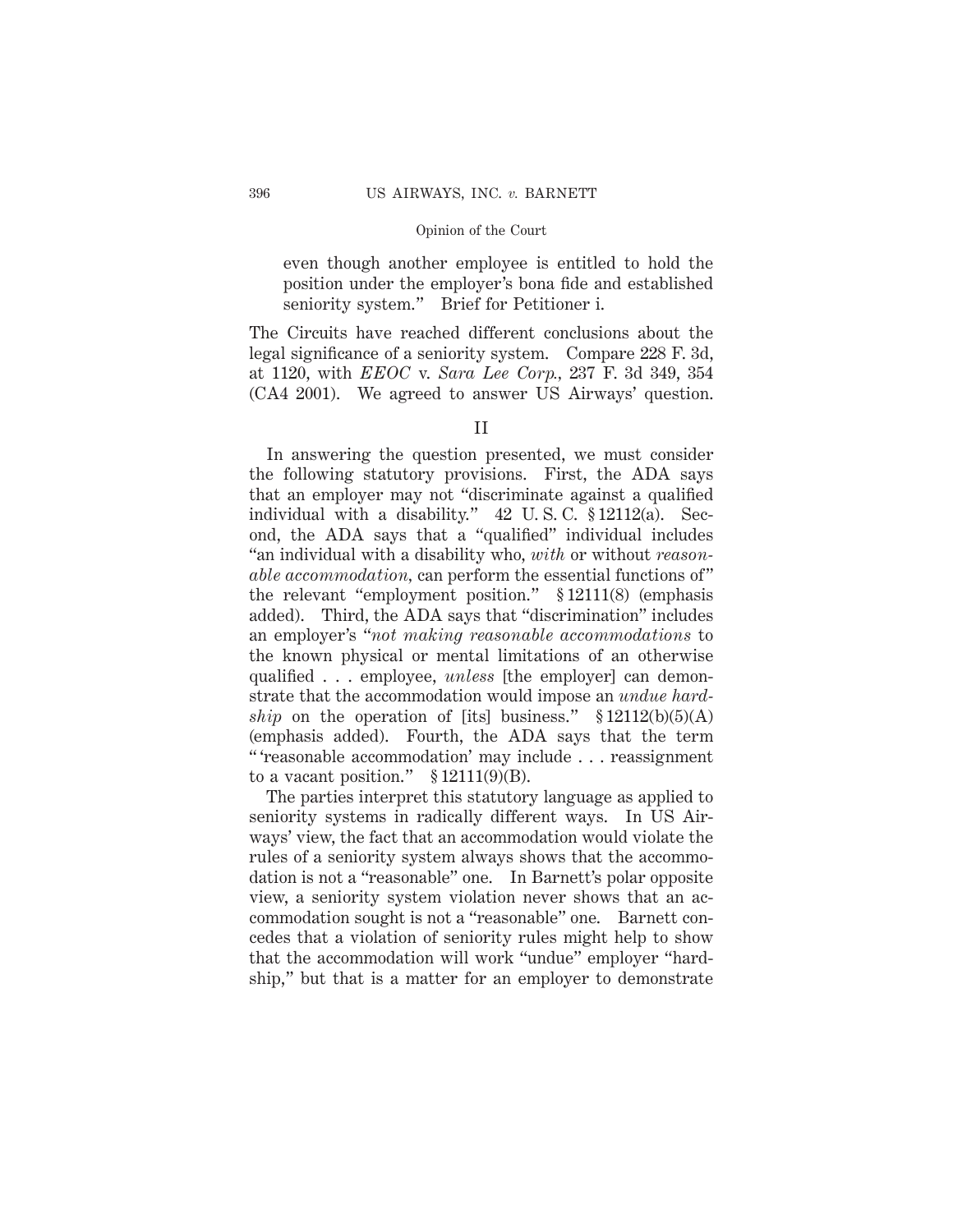even though another employee is entitled to hold the position under the employer's bona fide and established seniority system." Brief for Petitioner i.

The Circuits have reached different conclusions about the legal significance of a seniority system. Compare 228 F. 3d, at 1120, with *EEOC* v. *Sara Lee Corp.,* 237 F. 3d 349, 354 (CA4 2001). We agreed to answer US Airways' question.

II

In answering the question presented, we must consider the following statutory provisions. First, the ADA says that an employer may not "discriminate against a qualified individual with a disability." 42 U. S. C. § 12112(a). Second, the ADA says that a "qualified" individual includes "an individual with a disability who, *with* or without *reasonable accommodation,* can perform the essential functions of" the relevant "employment position." § 12111(8) (emphasis added). Third, the ADA says that "discrimination" includes an employer's "*not making reasonable accommodations* to the known physical or mental limitations of an otherwise qualified . . . employee, *unless* [the employer] can demonstrate that the accommodation would impose an *undue hardship* on the operation of [its] business."  $$12112(b)(5)(A)$ (emphasis added). Fourth, the ADA says that the term " 'reasonable accommodation' may include . . . reassignment to a vacant position."  $$12111(9)(B)$ .

The parties interpret this statutory language as applied to seniority systems in radically different ways. In US Airways' view, the fact that an accommodation would violate the rules of a seniority system always shows that the accommodation is not a "reasonable" one. In Barnett's polar opposite view, a seniority system violation never shows that an accommodation sought is not a "reasonable" one. Barnett concedes that a violation of seniority rules might help to show that the accommodation will work "undue" employer "hardship," but that is a matter for an employer to demonstrate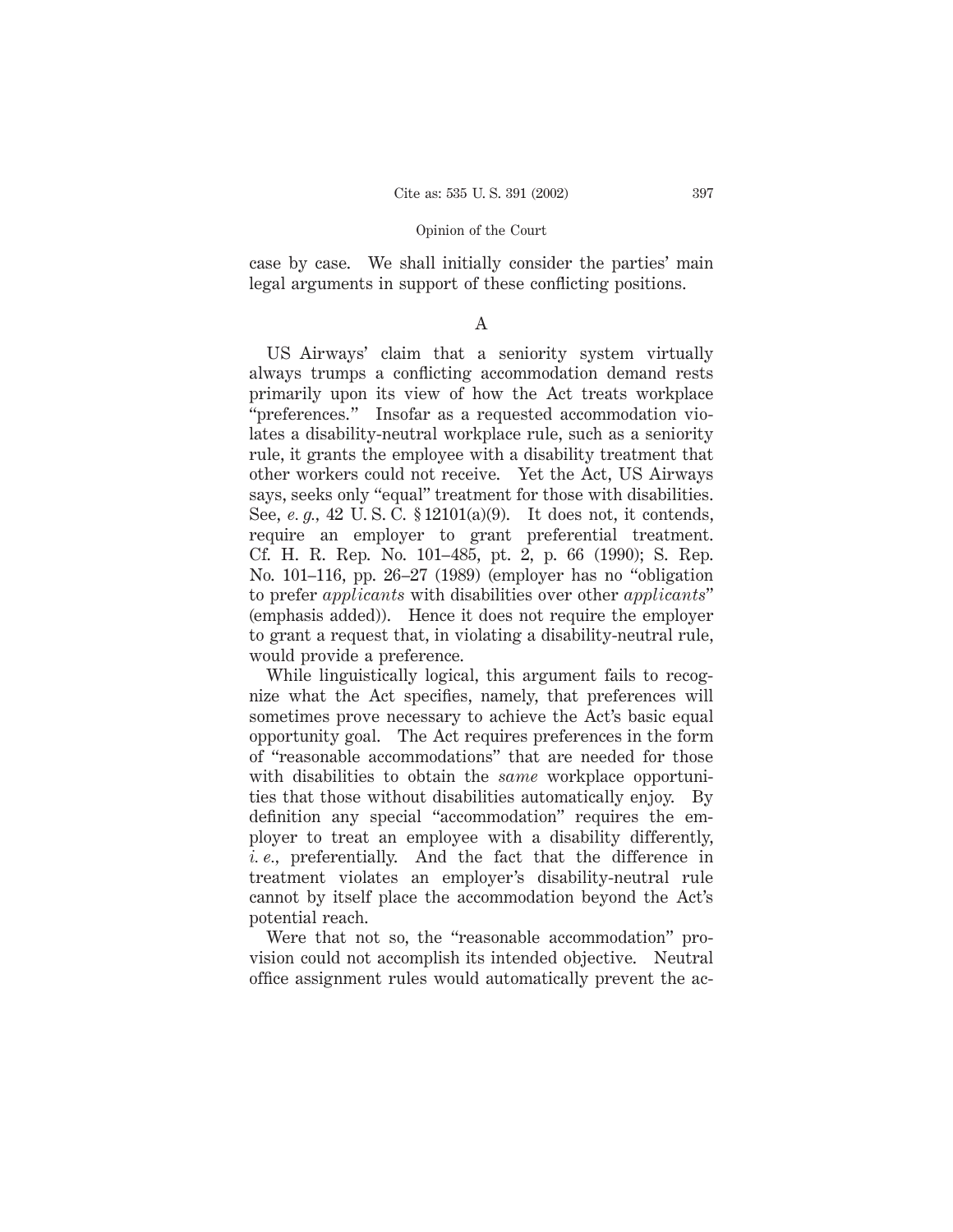case by case. We shall initially consider the parties' main legal arguments in support of these conflicting positions.

## A

US Airways' claim that a seniority system virtually always trumps a conflicting accommodation demand rests primarily upon its view of how the Act treats workplace "preferences." Insofar as a requested accommodation violates a disability-neutral workplace rule, such as a seniority rule, it grants the employee with a disability treatment that other workers could not receive. Yet the Act, US Airways says, seeks only "equal" treatment for those with disabilities. See, *e. g.,* 42 U. S. C. § 12101(a)(9). It does not, it contends, require an employer to grant preferential treatment. Cf. H. R. Rep. No. 101–485, pt. 2, p. 66 (1990); S. Rep. No. 101–116, pp. 26–27 (1989) (employer has no "obligation to prefer *applicants* with disabilities over other *applicants*" (emphasis added)). Hence it does not require the employer to grant a request that, in violating a disability-neutral rule, would provide a preference.

While linguistically logical, this argument fails to recognize what the Act specifies, namely, that preferences will sometimes prove necessary to achieve the Act's basic equal opportunity goal. The Act requires preferences in the form of "reasonable accommodations" that are needed for those with disabilities to obtain the *same* workplace opportunities that those without disabilities automatically enjoy. By definition any special "accommodation" requires the employer to treat an employee with a disability differently, *i. e.,* preferentially. And the fact that the difference in treatment violates an employer's disability-neutral rule cannot by itself place the accommodation beyond the Act's potential reach.

Were that not so, the "reasonable accommodation" provision could not accomplish its intended objective. Neutral office assignment rules would automatically prevent the ac-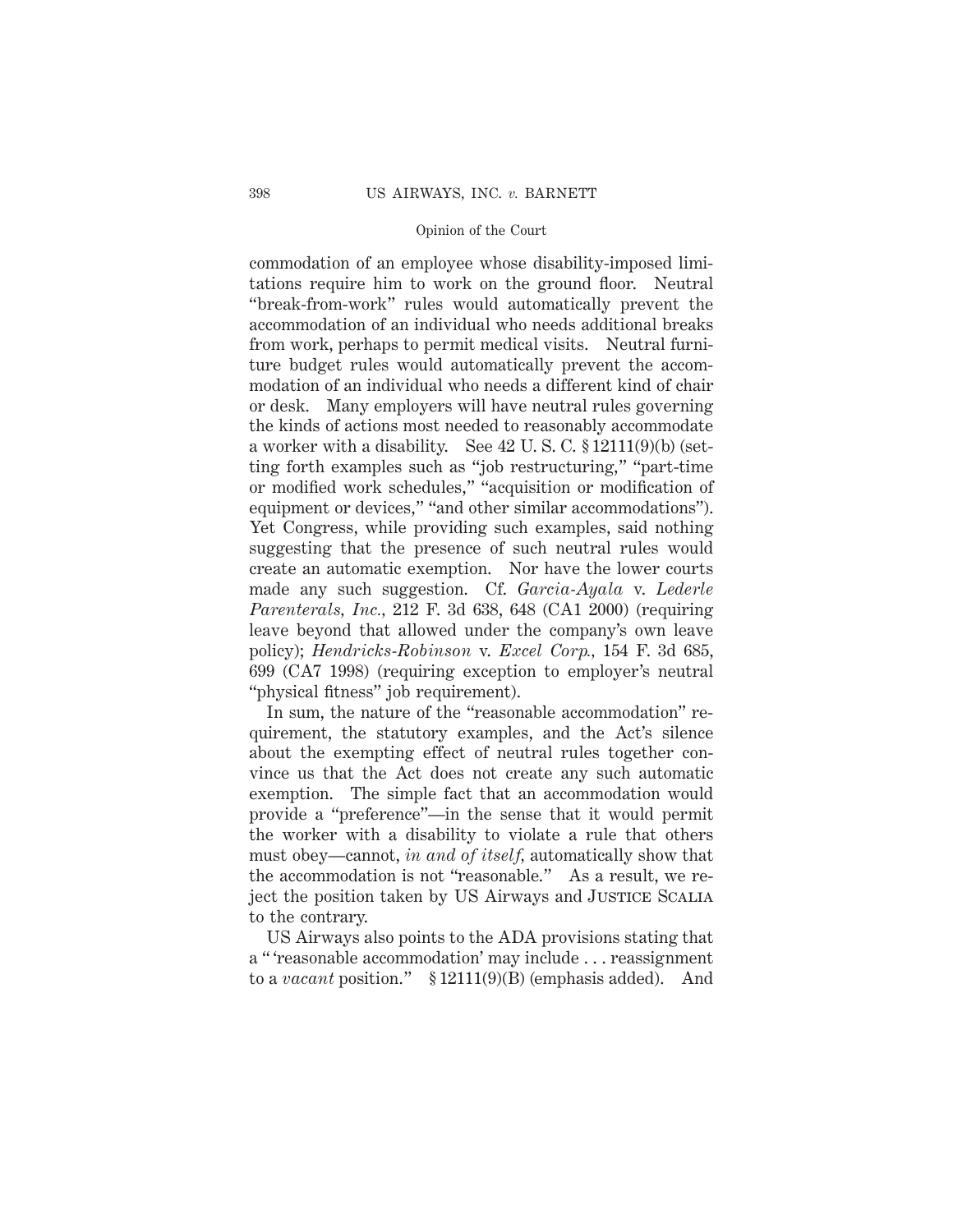commodation of an employee whose disability-imposed limitations require him to work on the ground floor. Neutral "break-from-work" rules would automatically prevent the accommodation of an individual who needs additional breaks from work, perhaps to permit medical visits. Neutral furniture budget rules would automatically prevent the accommodation of an individual who needs a different kind of chair or desk. Many employers will have neutral rules governing the kinds of actions most needed to reasonably accommodate a worker with a disability. See 42 U. S. C. § 12111(9)(b) (setting forth examples such as "job restructuring," "part-time or modified work schedules," "acquisition or modification of equipment or devices," "and other similar accommodations"). Yet Congress, while providing such examples, said nothing suggesting that the presence of such neutral rules would create an automatic exemption. Nor have the lower courts made any such suggestion. Cf. *Garcia-Ayala* v. *Lederle Parenterals, Inc.,* 212 F. 3d 638, 648 (CA1 2000) (requiring leave beyond that allowed under the company's own leave policy); *Hendricks-Robinson* v. *Excel Corp.,* 154 F. 3d 685, 699 (CA7 1998) (requiring exception to employer's neutral "physical fitness" job requirement).

In sum, the nature of the "reasonable accommodation" requirement, the statutory examples, and the Act's silence about the exempting effect of neutral rules together convince us that the Act does not create any such automatic exemption. The simple fact that an accommodation would provide a "preference"—in the sense that it would permit the worker with a disability to violate a rule that others must obey—cannot, *in and of itself,* automatically show that the accommodation is not "reasonable." As a result, we reject the position taken by US Airways and JUSTICE SCALIA to the contrary.

US Airways also points to the ADA provisions stating that a " 'reasonable accommodation' may include... reassignment to a *vacant* position." § 12111(9)(B) (emphasis added). And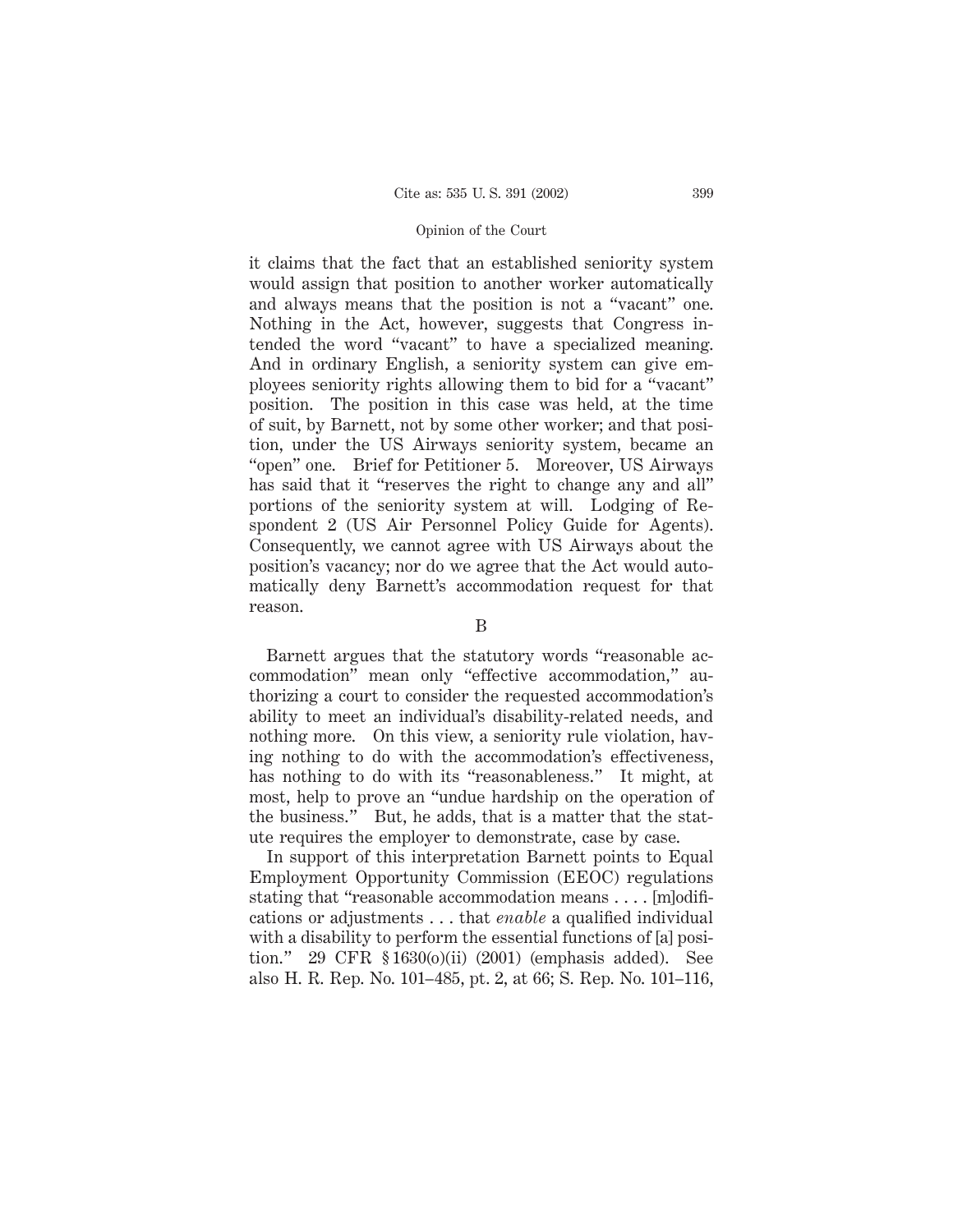it claims that the fact that an established seniority system would assign that position to another worker automatically and always means that the position is not a "vacant" one. Nothing in the Act, however, suggests that Congress intended the word "vacant" to have a specialized meaning. And in ordinary English, a seniority system can give employees seniority rights allowing them to bid for a "vacant" position. The position in this case was held, at the time of suit, by Barnett, not by some other worker; and that position, under the US Airways seniority system, became an "open" one. Brief for Petitioner 5. Moreover, US Airways has said that it "reserves the right to change any and all" portions of the seniority system at will. Lodging of Respondent 2 (US Air Personnel Policy Guide for Agents). Consequently, we cannot agree with US Airways about the position's vacancy; nor do we agree that the Act would automatically deny Barnett's accommodation request for that reason.

B

Barnett argues that the statutory words "reasonable accommodation" mean only "effective accommodation," authorizing a court to consider the requested accommodation's ability to meet an individual's disability-related needs, and nothing more. On this view, a seniority rule violation, having nothing to do with the accommodation's effectiveness, has nothing to do with its "reasonableness." It might, at most, help to prove an "undue hardship on the operation of the business." But, he adds, that is a matter that the statute requires the employer to demonstrate, case by case.

In support of this interpretation Barnett points to Equal Employment Opportunity Commission (EEOC) regulations stating that "reasonable accommodation means . . . . [m]odifications or adjustments . . . that *enable* a qualified individual with a disability to perform the essential functions of [a] position." 29 CFR § 1630(o)(ii) (2001) (emphasis added). See also H. R. Rep. No. 101–485, pt. 2, at 66; S. Rep. No. 101–116,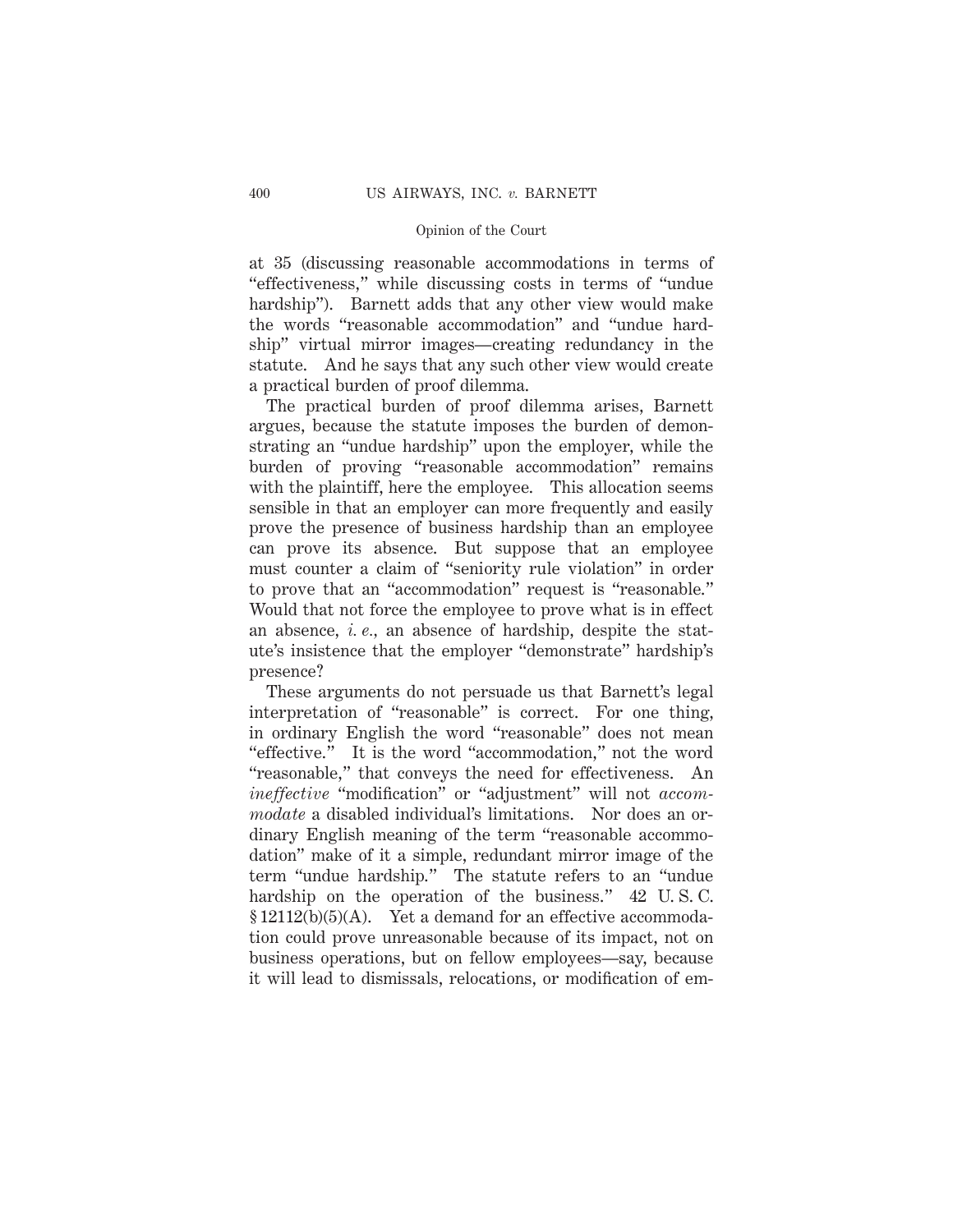at 35 (discussing reasonable accommodations in terms of "effectiveness," while discussing costs in terms of "undue hardship"). Barnett adds that any other view would make the words "reasonable accommodation" and "undue hardship" virtual mirror images—creating redundancy in the statute. And he says that any such other view would create a practical burden of proof dilemma.

The practical burden of proof dilemma arises, Barnett argues, because the statute imposes the burden of demonstrating an "undue hardship" upon the employer, while the burden of proving "reasonable accommodation" remains with the plaintiff, here the employee. This allocation seems sensible in that an employer can more frequently and easily prove the presence of business hardship than an employee can prove its absence. But suppose that an employee must counter a claim of "seniority rule violation" in order to prove that an "accommodation" request is "reasonable." Would that not force the employee to prove what is in effect an absence, *i. e.,* an absence of hardship, despite the statute's insistence that the employer "demonstrate" hardship's presence?

These arguments do not persuade us that Barnett's legal interpretation of "reasonable" is correct. For one thing, in ordinary English the word "reasonable" does not mean "effective." It is the word "accommodation," not the word "reasonable," that conveys the need for effectiveness. An *ineffective* "modification" or "adjustment" will not *accommodate* a disabled individual's limitations. Nor does an ordinary English meaning of the term "reasonable accommodation" make of it a simple, redundant mirror image of the term "undue hardship." The statute refers to an "undue hardship on the operation of the business." 42 U.S.C. § 12112(b)(5)(A). Yet a demand for an effective accommodation could prove unreasonable because of its impact, not on business operations, but on fellow employees—say, because it will lead to dismissals, relocations, or modification of em-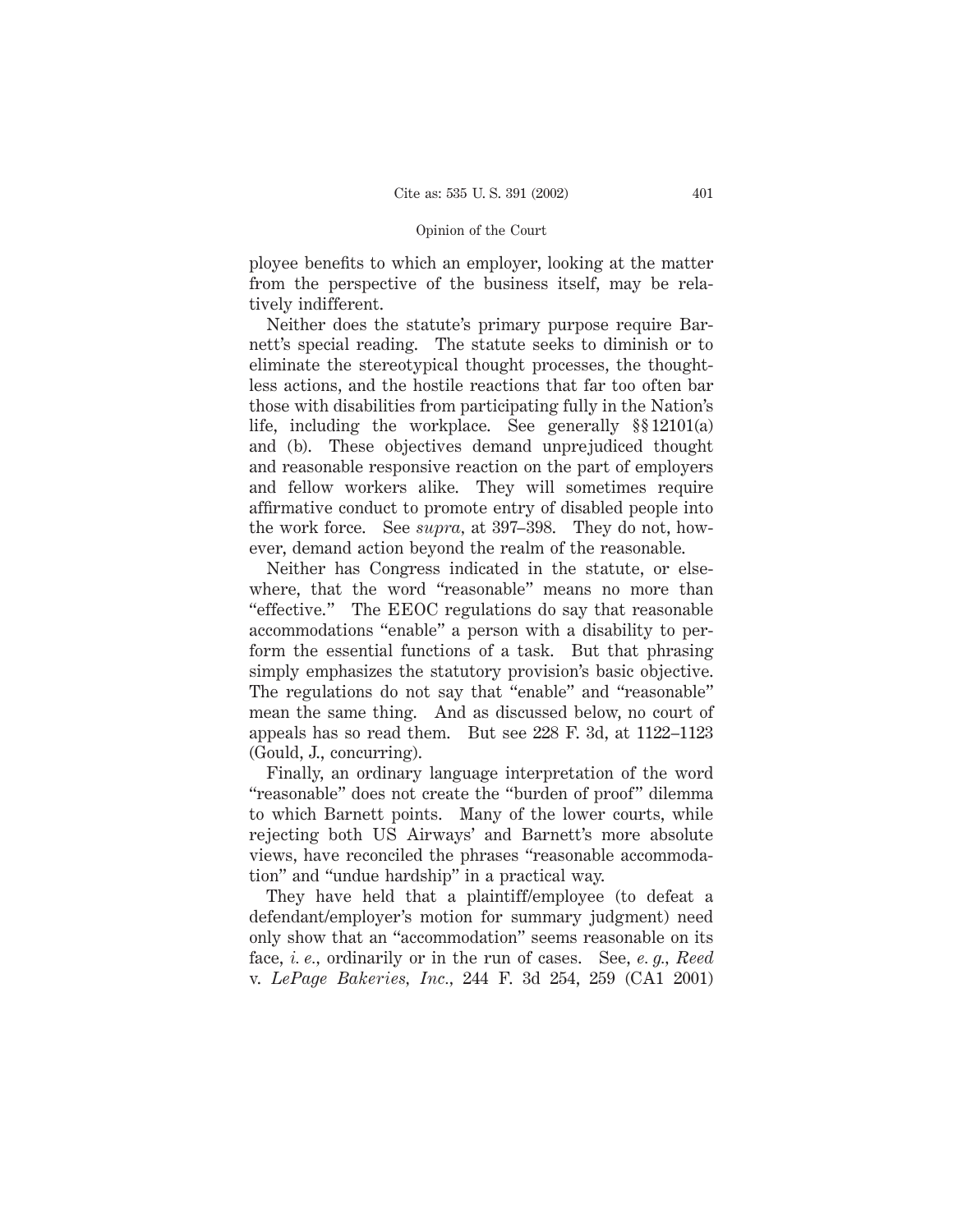ployee benefits to which an employer, looking at the matter from the perspective of the business itself, may be relatively indifferent.

Neither does the statute's primary purpose require Barnett's special reading. The statute seeks to diminish or to eliminate the stereotypical thought processes, the thoughtless actions, and the hostile reactions that far too often bar those with disabilities from participating fully in the Nation's life, including the workplace. See generally §§ 12101(a) and (b). These objectives demand unprejudiced thought and reasonable responsive reaction on the part of employers and fellow workers alike. They will sometimes require affirmative conduct to promote entry of disabled people into the work force. See *supra,* at 397–398. They do not, however, demand action beyond the realm of the reasonable.

Neither has Congress indicated in the statute, or elsewhere, that the word "reasonable" means no more than "effective." The EEOC regulations do say that reasonable accommodations "enable" a person with a disability to perform the essential functions of a task. But that phrasing simply emphasizes the statutory provision's basic objective. The regulations do not say that "enable" and "reasonable" mean the same thing. And as discussed below, no court of appeals has so read them. But see 228 F. 3d, at 1122–1123 (Gould, J., concurring).

Finally, an ordinary language interpretation of the word "reasonable" does not create the "burden of proof" dilemma to which Barnett points. Many of the lower courts, while rejecting both US Airways' and Barnett's more absolute views, have reconciled the phrases "reasonable accommodation" and "undue hardship" in a practical way.

They have held that a plaintiff/employee (to defeat a defendant/employer's motion for summary judgment) need only show that an "accommodation" seems reasonable on its face, *i. e.,* ordinarily or in the run of cases. See, *e. g., Reed* v. *LePage Bakeries, Inc.,* 244 F. 3d 254, 259 (CA1 2001)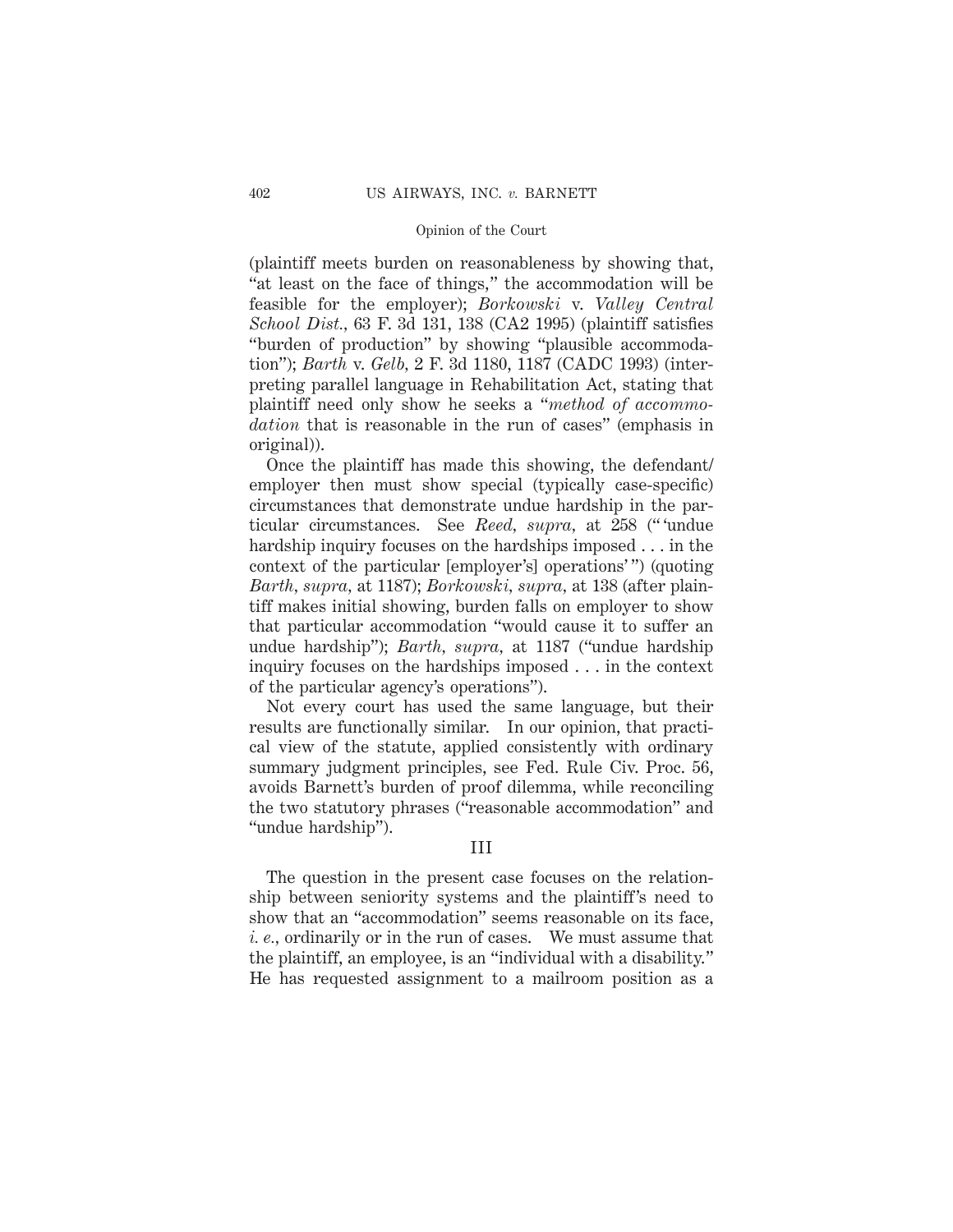(plaintiff meets burden on reasonableness by showing that, "at least on the face of things," the accommodation will be feasible for the employer); *Borkowski* v. *Valley Central School Dist.,* 63 F. 3d 131, 138 (CA2 1995) (plaintiff satisfies "burden of production" by showing "plausible accommodation"); *Barth* v. *Gelb,* 2 F. 3d 1180, 1187 (CADC 1993) (interpreting parallel language in Rehabilitation Act, stating that plaintiff need only show he seeks a "*method of accommodation* that is reasonable in the run of cases" (emphasis in original)).

Once the plaintiff has made this showing, the defendant/ employer then must show special (typically case-specific) circumstances that demonstrate undue hardship in the particular circumstances. See *Reed, supra,* at 258 (" 'undue hardship inquiry focuses on the hardships imposed . . . in the context of the particular [employer's] operations' ") (quoting *Barth, supra,* at 1187); *Borkowski, supra,* at 138 (after plaintiff makes initial showing, burden falls on employer to show that particular accommodation "would cause it to suffer an undue hardship"); *Barth, supra,* at 1187 ("undue hardship inquiry focuses on the hardships imposed . . . in the context of the particular agency's operations").

Not every court has used the same language, but their results are functionally similar. In our opinion, that practical view of the statute, applied consistently with ordinary summary judgment principles, see Fed. Rule Civ. Proc. 56, avoids Barnett's burden of proof dilemma, while reconciling the two statutory phrases ("reasonable accommodation" and "undue hardship").

### III

The question in the present case focuses on the relationship between seniority systems and the plaintiff's need to show that an "accommodation" seems reasonable on its face, *i. e.,* ordinarily or in the run of cases. We must assume that the plaintiff, an employee, is an "individual with a disability." He has requested assignment to a mailroom position as a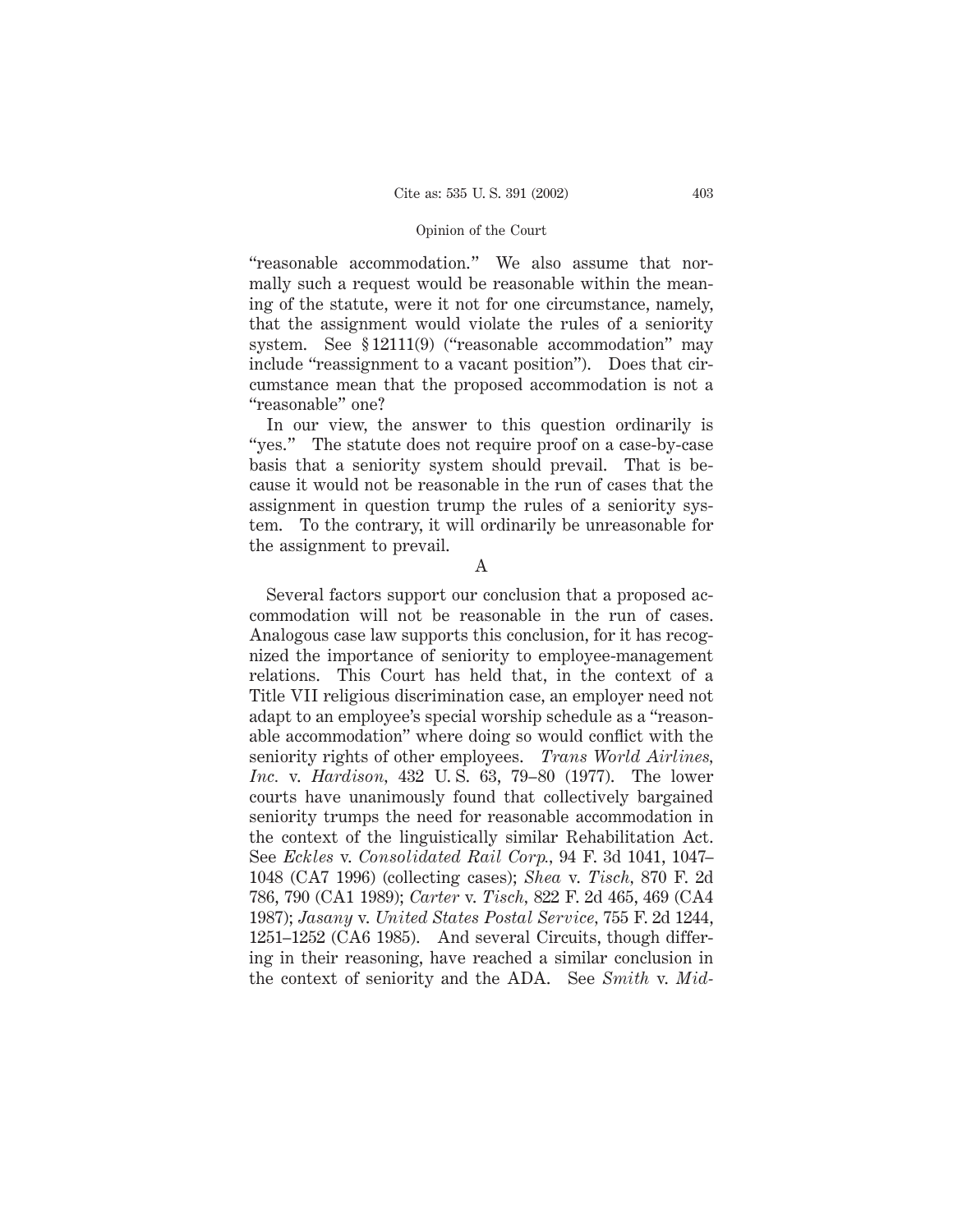"reasonable accommodation." We also assume that normally such a request would be reasonable within the meaning of the statute, were it not for one circumstance, namely, that the assignment would violate the rules of a seniority system. See § 12111(9) ("reasonable accommodation" may include "reassignment to a vacant position"). Does that circumstance mean that the proposed accommodation is not a "reasonable" one?

In our view, the answer to this question ordinarily is "yes." The statute does not require proof on a case-by-case basis that a seniority system should prevail. That is because it would not be reasonable in the run of cases that the assignment in question trump the rules of a seniority system. To the contrary, it will ordinarily be unreasonable for the assignment to prevail.

#### A

Several factors support our conclusion that a proposed accommodation will not be reasonable in the run of cases. Analogous case law supports this conclusion, for it has recognized the importance of seniority to employee-management relations. This Court has held that, in the context of a Title VII religious discrimination case, an employer need not adapt to an employee's special worship schedule as a "reasonable accommodation" where doing so would conflict with the seniority rights of other employees. *Trans World Airlines, Inc.* v. *Hardison,* 432 U. S. 63, 79–80 (1977). The lower courts have unanimously found that collectively bargained seniority trumps the need for reasonable accommodation in the context of the linguistically similar Rehabilitation Act. See *Eckles* v. *Consolidated Rail Corp.,* 94 F. 3d 1041, 1047– 1048 (CA7 1996) (collecting cases); *Shea* v. *Tisch,* 870 F. 2d 786, 790 (CA1 1989); *Carter* v. *Tisch,* 822 F. 2d 465, 469 (CA4 1987); *Jasany* v. *United States Postal Service,* 755 F. 2d 1244, 1251–1252 (CA6 1985). And several Circuits, though differing in their reasoning, have reached a similar conclusion in the context of seniority and the ADA. See *Smith* v. *Mid-*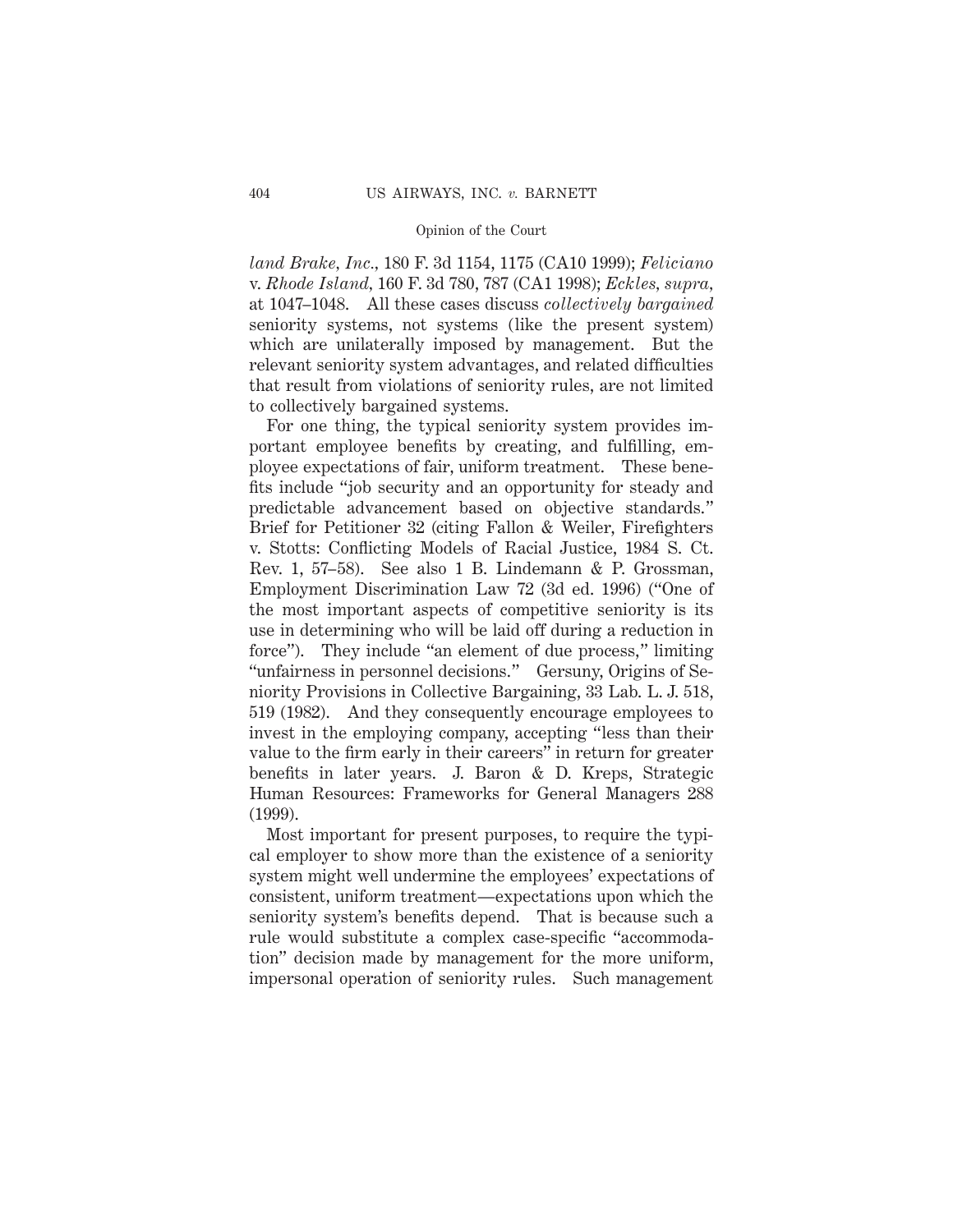*land Brake, Inc.,* 180 F. 3d 1154, 1175 (CA10 1999); *Feliciano* v. *Rhode Island,* 160 F. 3d 780, 787 (CA1 1998); *Eckles, supra,* at 1047–1048. All these cases discuss *collectively bargained* seniority systems, not systems (like the present system) which are unilaterally imposed by management. But the relevant seniority system advantages, and related difficulties that result from violations of seniority rules, are not limited to collectively bargained systems.

For one thing, the typical seniority system provides important employee benefits by creating, and fulfilling, employee expectations of fair, uniform treatment. These benefits include "job security and an opportunity for steady and predictable advancement based on objective standards." Brief for Petitioner 32 (citing Fallon & Weiler, Firefighters v. Stotts: Conflicting Models of Racial Justice, 1984 S. Ct. Rev. 1, 57–58). See also 1 B. Lindemann & P. Grossman, Employment Discrimination Law 72 (3d ed. 1996) ("One of the most important aspects of competitive seniority is its use in determining who will be laid off during a reduction in force"). They include "an element of due process," limiting "unfairness in personnel decisions." Gersuny, Origins of Seniority Provisions in Collective Bargaining, 33 Lab. L. J. 518, 519 (1982). And they consequently encourage employees to invest in the employing company, accepting "less than their value to the firm early in their careers" in return for greater benefits in later years. J. Baron & D. Kreps, Strategic Human Resources: Frameworks for General Managers 288 (1999).

Most important for present purposes, to require the typical employer to show more than the existence of a seniority system might well undermine the employees' expectations of consistent, uniform treatment—expectations upon which the seniority system's benefits depend. That is because such a rule would substitute a complex case-specific "accommodation" decision made by management for the more uniform, impersonal operation of seniority rules. Such management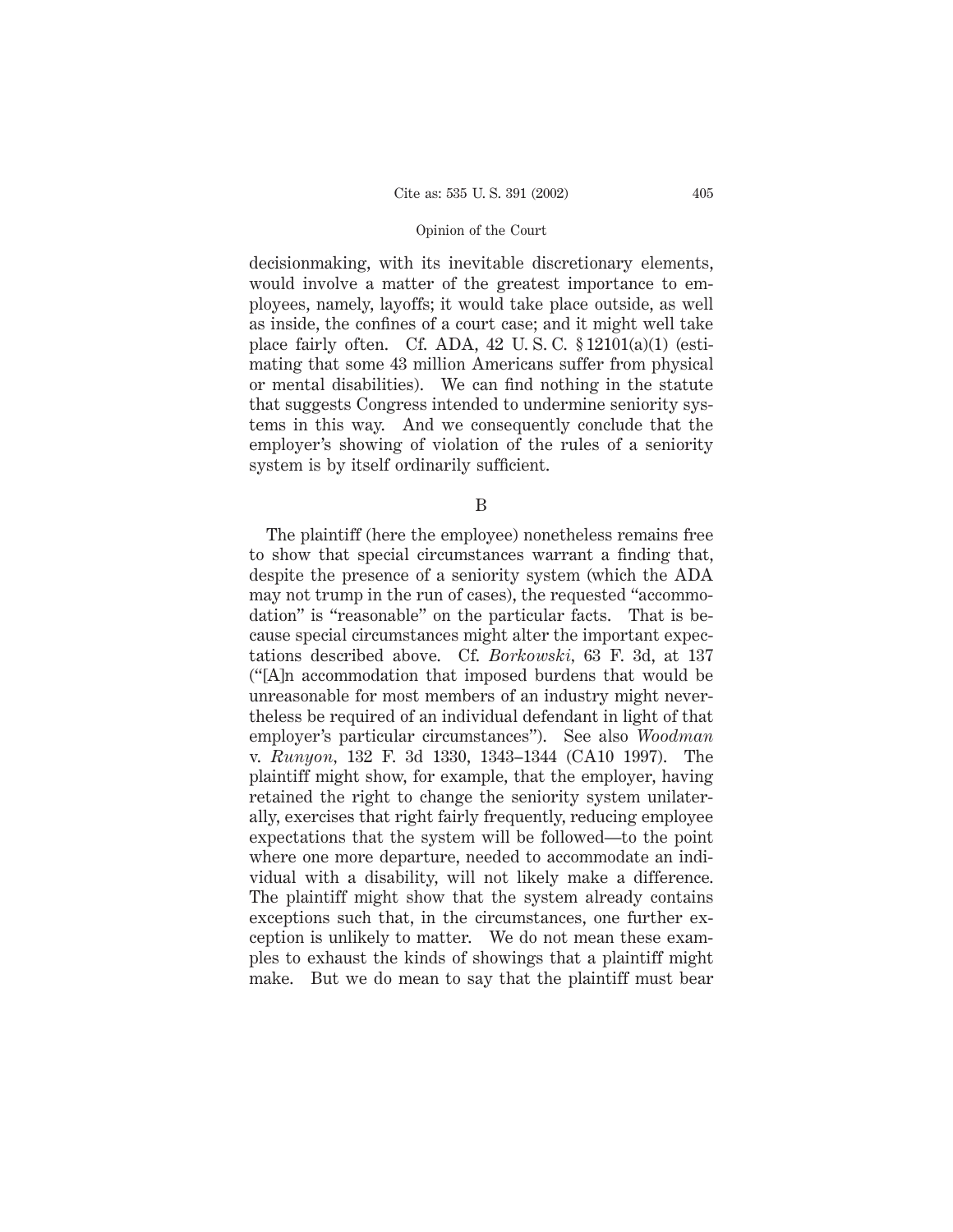decisionmaking, with its inevitable discretionary elements, would involve a matter of the greatest importance to employees, namely, layoffs; it would take place outside, as well as inside, the confines of a court case; and it might well take place fairly often. Cf. ADA,  $42 \text{ U.S. C. } \S 12101(a)(1)$  (estimating that some 43 million Americans suffer from physical or mental disabilities). We can find nothing in the statute that suggests Congress intended to undermine seniority systems in this way. And we consequently conclude that the employer's showing of violation of the rules of a seniority system is by itself ordinarily sufficient.

B

The plaintiff (here the employee) nonetheless remains free to show that special circumstances warrant a finding that, despite the presence of a seniority system (which the ADA may not trump in the run of cases), the requested "accommodation" is "reasonable" on the particular facts. That is because special circumstances might alter the important expectations described above. Cf. *Borkowski,* 63 F. 3d, at 137 ("[A]n accommodation that imposed burdens that would be unreasonable for most members of an industry might nevertheless be required of an individual defendant in light of that employer's particular circumstances"). See also *Woodman* v. *Runyon,* 132 F. 3d 1330, 1343–1344 (CA10 1997). The plaintiff might show, for example, that the employer, having retained the right to change the seniority system unilaterally, exercises that right fairly frequently, reducing employee expectations that the system will be followed—to the point where one more departure, needed to accommodate an individual with a disability, will not likely make a difference. The plaintiff might show that the system already contains exceptions such that, in the circumstances, one further exception is unlikely to matter. We do not mean these examples to exhaust the kinds of showings that a plaintiff might make. But we do mean to say that the plaintiff must bear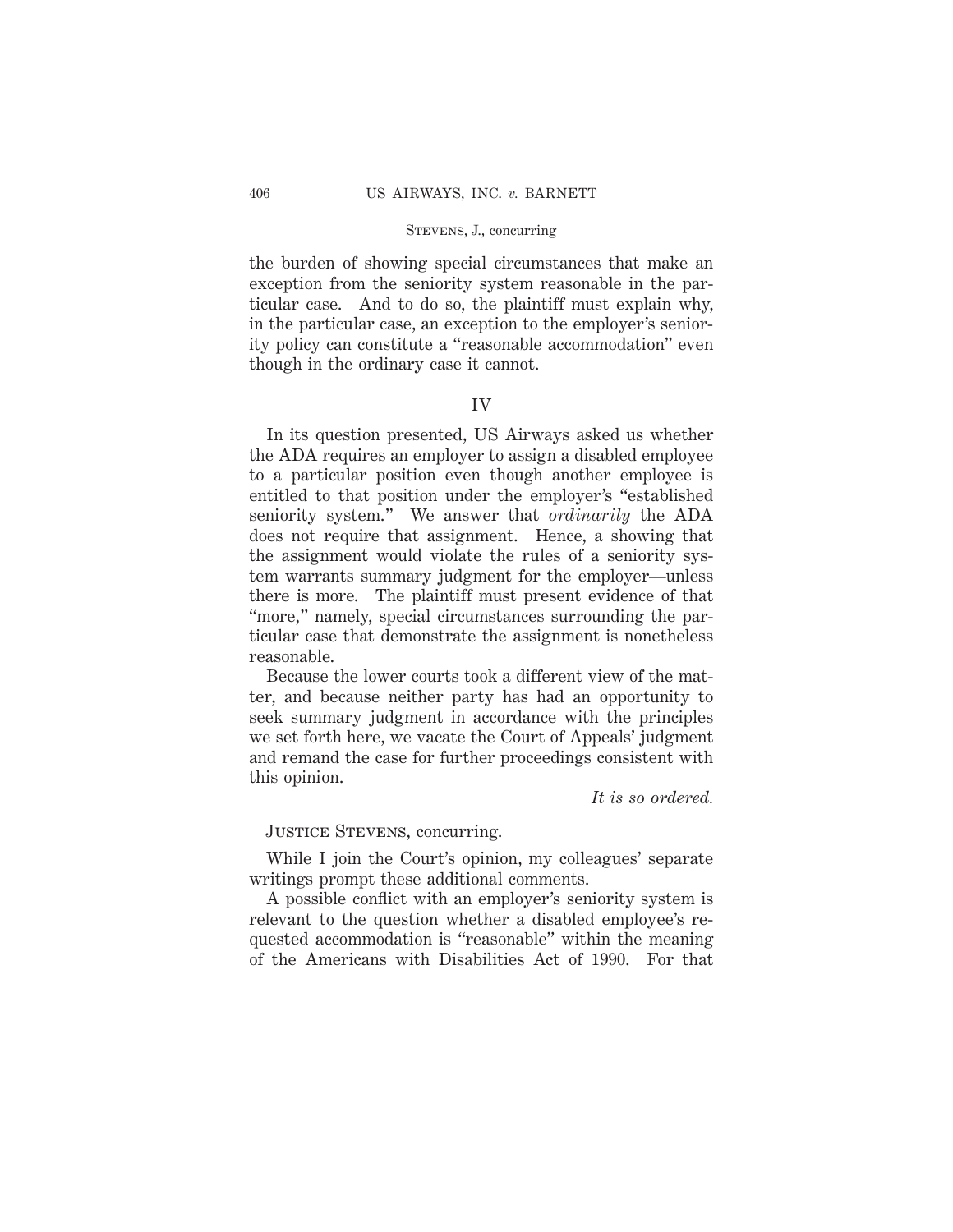### STEVENS, J., concurring

the burden of showing special circumstances that make an exception from the seniority system reasonable in the particular case. And to do so, the plaintiff must explain why, in the particular case, an exception to the employer's seniority policy can constitute a "reasonable accommodation" even though in the ordinary case it cannot.

# IV

In its question presented, US Airways asked us whether the ADA requires an employer to assign a disabled employee to a particular position even though another employee is entitled to that position under the employer's "established seniority system." We answer that *ordinarily* the ADA does not require that assignment. Hence, a showing that the assignment would violate the rules of a seniority system warrants summary judgment for the employer—unless there is more. The plaintiff must present evidence of that "more," namely, special circumstances surrounding the particular case that demonstrate the assignment is nonetheless reasonable.

Because the lower courts took a different view of the matter, and because neither party has had an opportunity to seek summary judgment in accordance with the principles we set forth here, we vacate the Court of Appeals' judgment and remand the case for further proceedings consistent with this opinion.

*It is so ordered.*

JUSTICE STEVENS, concurring.

While I join the Court's opinion, my colleagues' separate writings prompt these additional comments.

A possible conflict with an employer's seniority system is relevant to the question whether a disabled employee's requested accommodation is "reasonable" within the meaning of the Americans with Disabilities Act of 1990. For that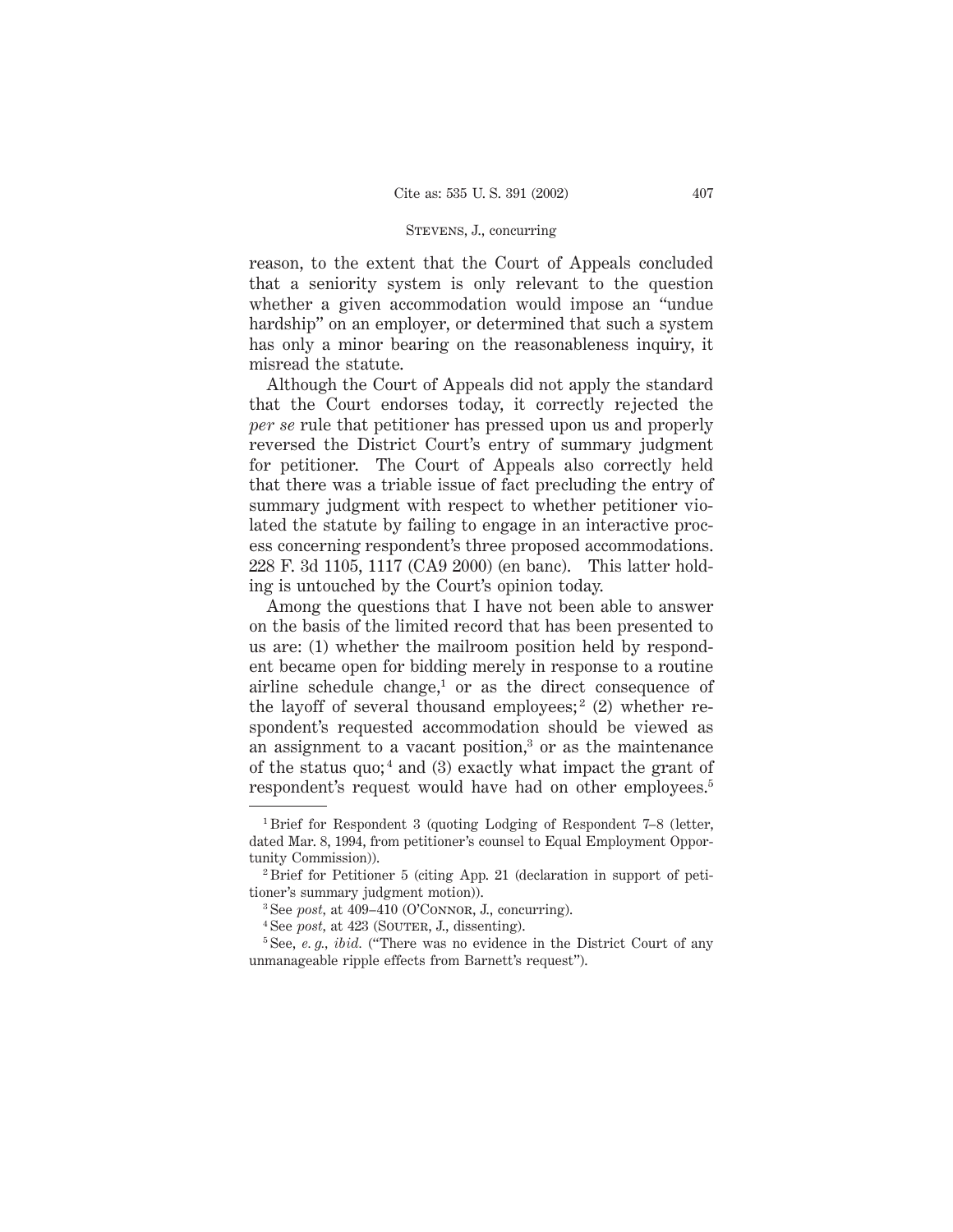### STEVENS, J., concurring

reason, to the extent that the Court of Appeals concluded that a seniority system is only relevant to the question whether a given accommodation would impose an "undue hardship" on an employer, or determined that such a system has only a minor bearing on the reasonableness inquiry, it misread the statute.

Although the Court of Appeals did not apply the standard that the Court endorses today, it correctly rejected the *per se* rule that petitioner has pressed upon us and properly reversed the District Court's entry of summary judgment for petitioner. The Court of Appeals also correctly held that there was a triable issue of fact precluding the entry of summary judgment with respect to whether petitioner violated the statute by failing to engage in an interactive process concerning respondent's three proposed accommodations. 228 F. 3d 1105, 1117 (CA9 2000) (en banc). This latter holding is untouched by the Court's opinion today.

Among the questions that I have not been able to answer on the basis of the limited record that has been presented to us are: (1) whether the mailroom position held by respondent became open for bidding merely in response to a routine airline schedule change, $\alpha$  or as the direct consequence of the layoff of several thousand employees;<sup>2</sup> (2) whether respondent's requested accommodation should be viewed as an assignment to a vacant position,<sup>3</sup> or as the maintenance of the status quo; <sup>4</sup> and (3) exactly what impact the grant of respondent's request would have had on other employees.5

<sup>1</sup> Brief for Respondent 3 (quoting Lodging of Respondent 7–8 (letter, dated Mar. 8, 1994, from petitioner's counsel to Equal Employment Opportunity Commission)).

<sup>2</sup> Brief for Petitioner 5 (citing App. 21 (declaration in support of petitioner's summary judgment motion)).

<sup>&</sup>lt;sup>3</sup> See *post*, at 409–410 (O'CONNOR, J., concurring).

<sup>&</sup>lt;sup>4</sup> See *post*, at 423 (SOUTER, J., dissenting).

<sup>&</sup>lt;sup>5</sup> See, *e. g., ibid.* ("There was no evidence in the District Court of any unmanageable ripple effects from Barnett's request").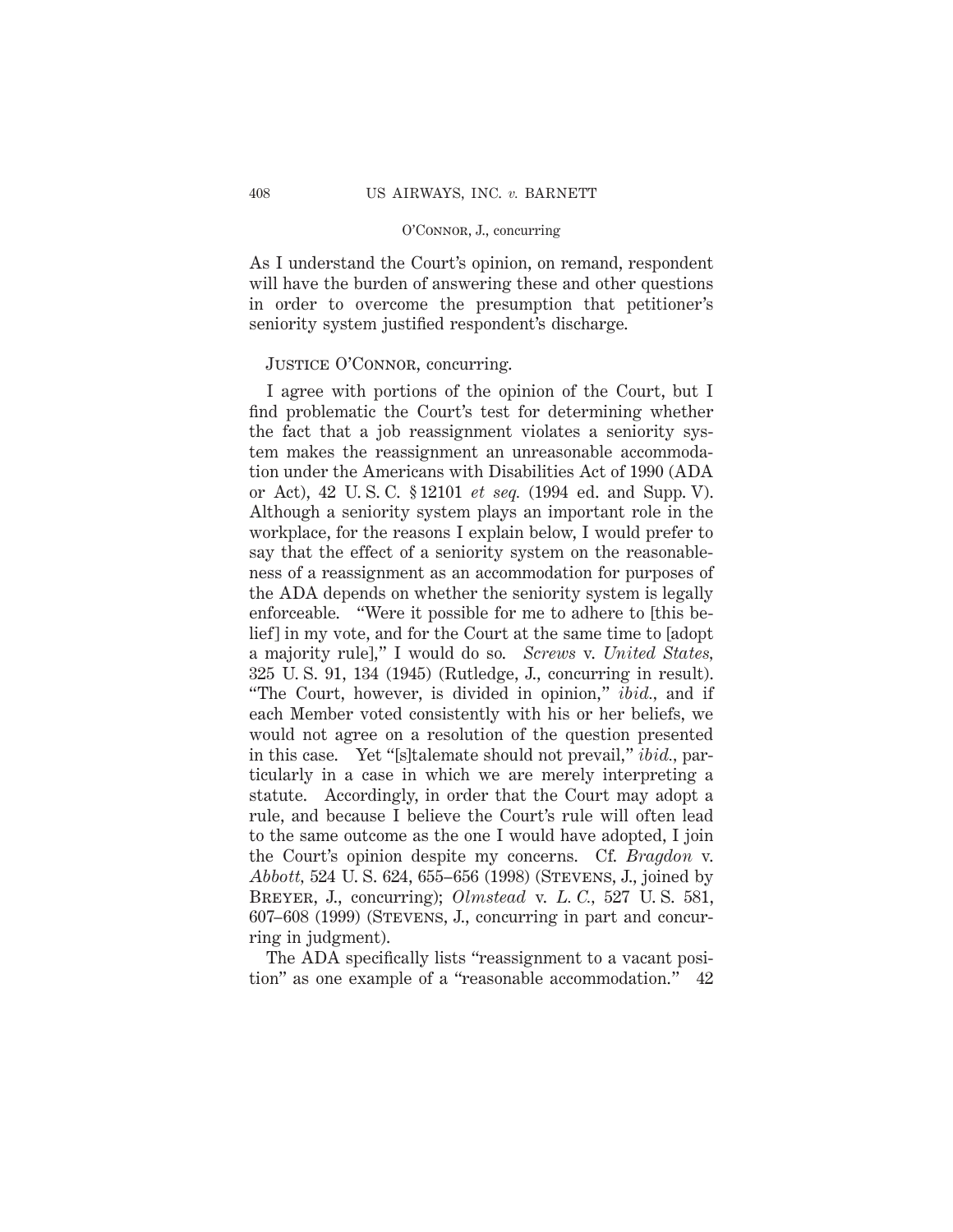### O'CONNOR, J., concurring

As I understand the Court's opinion, on remand, respondent will have the burden of answering these and other questions in order to overcome the presumption that petitioner's seniority system justified respondent's discharge.

# JUSTICE O'CONNOR, concurring.

I agree with portions of the opinion of the Court, but I find problematic the Court's test for determining whether the fact that a job reassignment violates a seniority system makes the reassignment an unreasonable accommodation under the Americans with Disabilities Act of 1990 (ADA or Act), 42 U. S. C. § 12101 *et seq.* (1994 ed. and Supp. V). Although a seniority system plays an important role in the workplace, for the reasons I explain below, I would prefer to say that the effect of a seniority system on the reasonableness of a reassignment as an accommodation for purposes of the ADA depends on whether the seniority system is legally enforceable. "Were it possible for me to adhere to [this belief] in my vote, and for the Court at the same time to [adopt a majority rule]," I would do so. *Screws* v. *United States,* 325 U. S. 91, 134 (1945) (Rutledge, J., concurring in result). "The Court, however, is divided in opinion," *ibid.,* and if each Member voted consistently with his or her beliefs, we would not agree on a resolution of the question presented in this case. Yet "[s]talemate should not prevail," *ibid.,* particularly in a case in which we are merely interpreting a statute. Accordingly, in order that the Court may adopt a rule, and because I believe the Court's rule will often lead to the same outcome as the one I would have adopted, I join the Court's opinion despite my concerns. Cf. *Bragdon* v. *Abbott,* 524 U. S. 624, 655–656 (1998) (Stevens, J., joined by Breyer, J., concurring); *Olmstead* v. *L. C.,* 527 U. S. 581, 607–608 (1999) (Stevens, J., concurring in part and concurring in judgment).

The ADA specifically lists "reassignment to a vacant position" as one example of a "reasonable accommodation." 42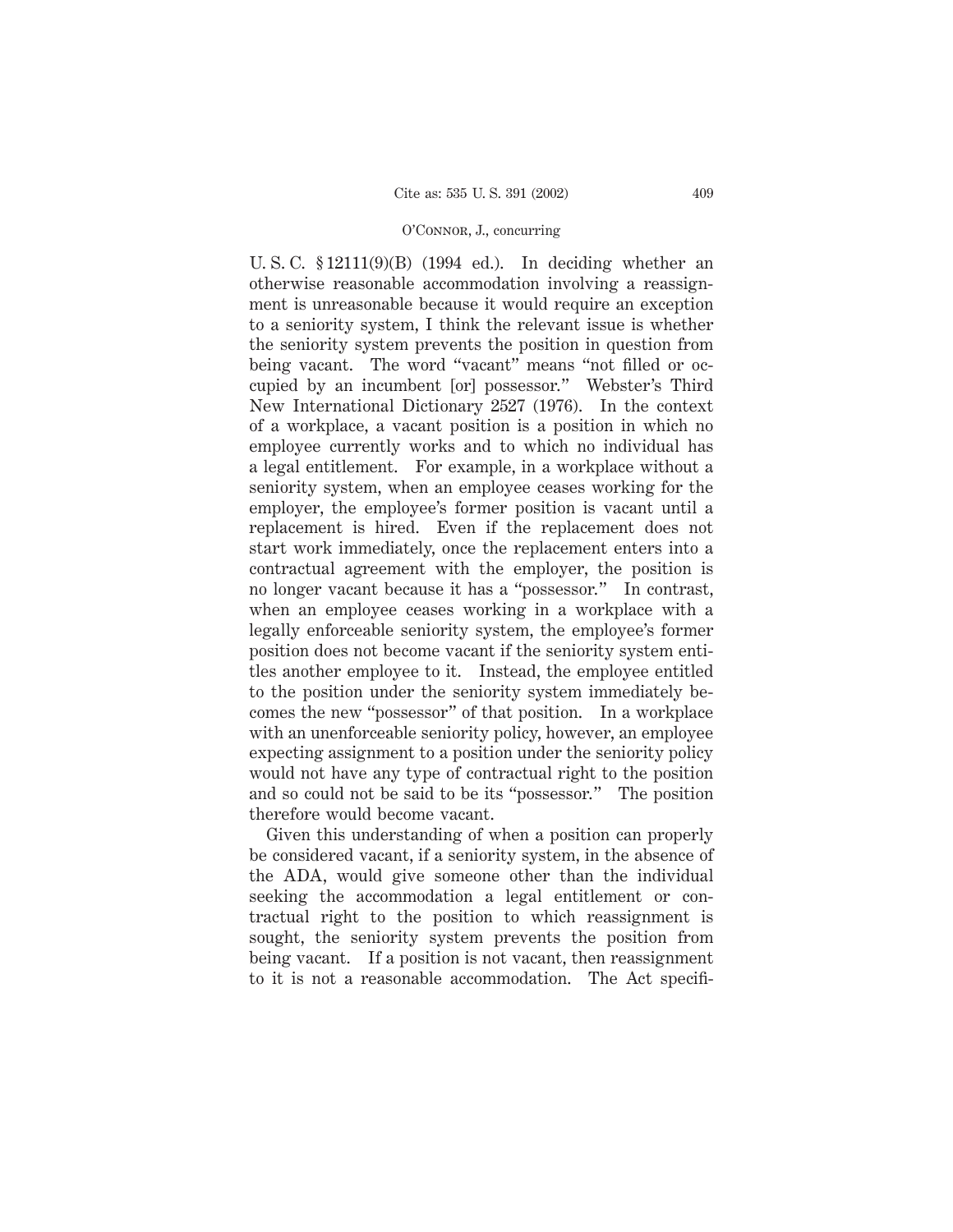### O'CONNOR, J., concurring

U. S. C. § 12111(9)(B) (1994 ed.). In deciding whether an otherwise reasonable accommodation involving a reassignment is unreasonable because it would require an exception to a seniority system, I think the relevant issue is whether the seniority system prevents the position in question from being vacant. The word "vacant" means "not filled or occupied by an incumbent [or] possessor." Webster's Third New International Dictionary 2527 (1976). In the context of a workplace, a vacant position is a position in which no employee currently works and to which no individual has a legal entitlement. For example, in a workplace without a seniority system, when an employee ceases working for the employer, the employee's former position is vacant until a replacement is hired. Even if the replacement does not start work immediately, once the replacement enters into a contractual agreement with the employer, the position is no longer vacant because it has a "possessor." In contrast, when an employee ceases working in a workplace with a legally enforceable seniority system, the employee's former position does not become vacant if the seniority system entitles another employee to it. Instead, the employee entitled to the position under the seniority system immediately becomes the new "possessor" of that position. In a workplace with an unenforceable seniority policy, however, an employee expecting assignment to a position under the seniority policy would not have any type of contractual right to the position and so could not be said to be its "possessor." The position therefore would become vacant.

Given this understanding of when a position can properly be considered vacant, if a seniority system, in the absence of the ADA, would give someone other than the individual seeking the accommodation a legal entitlement or contractual right to the position to which reassignment is sought, the seniority system prevents the position from being vacant. If a position is not vacant, then reassignment to it is not a reasonable accommodation. The Act specifi-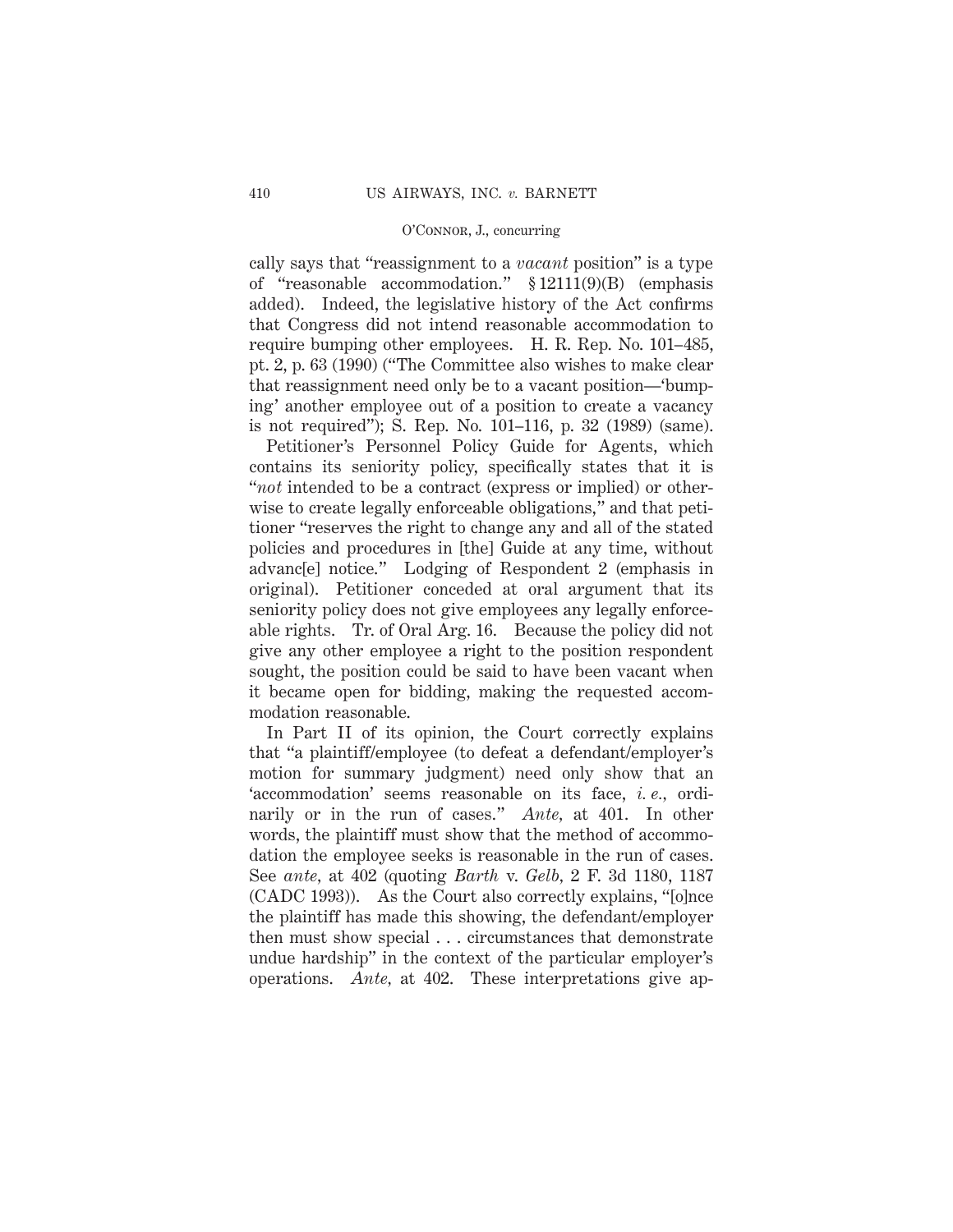### O'CONNOR, J., concurring

cally says that "reassignment to a *vacant* position" is a type of "reasonable accommodation." § 12111(9)(B) (emphasis added). Indeed, the legislative history of the Act confirms that Congress did not intend reasonable accommodation to require bumping other employees. H. R. Rep. No. 101–485, pt. 2, p. 63 (1990) ("The Committee also wishes to make clear that reassignment need only be to a vacant position—'bumping' another employee out of a position to create a vacancy is not required"); S. Rep. No. 101–116, p. 32 (1989) (same).

Petitioner's Personnel Policy Guide for Agents, which contains its seniority policy, specifically states that it is "*not* intended to be a contract (express or implied) or otherwise to create legally enforceable obligations," and that petitioner "reserves the right to change any and all of the stated policies and procedures in [the] Guide at any time, without advanc[e] notice." Lodging of Respondent 2 (emphasis in original). Petitioner conceded at oral argument that its seniority policy does not give employees any legally enforceable rights. Tr. of Oral Arg. 16. Because the policy did not give any other employee a right to the position respondent sought, the position could be said to have been vacant when it became open for bidding, making the requested accommodation reasonable.

In Part II of its opinion, the Court correctly explains that "a plaintiff/employee (to defeat a defendant/employer's motion for summary judgment) need only show that an 'accommodation' seems reasonable on its face, *i. e.,* ordinarily or in the run of cases." *Ante,* at 401. In other words, the plaintiff must show that the method of accommodation the employee seeks is reasonable in the run of cases. See *ante,* at 402 (quoting *Barth* v. *Gelb,* 2 F. 3d 1180, 1187 (CADC 1993)). As the Court also correctly explains, "[o]nce the plaintiff has made this showing, the defendant/employer then must show special... circumstances that demonstrate undue hardship" in the context of the particular employer's operations. *Ante,* at 402. These interpretations give ap-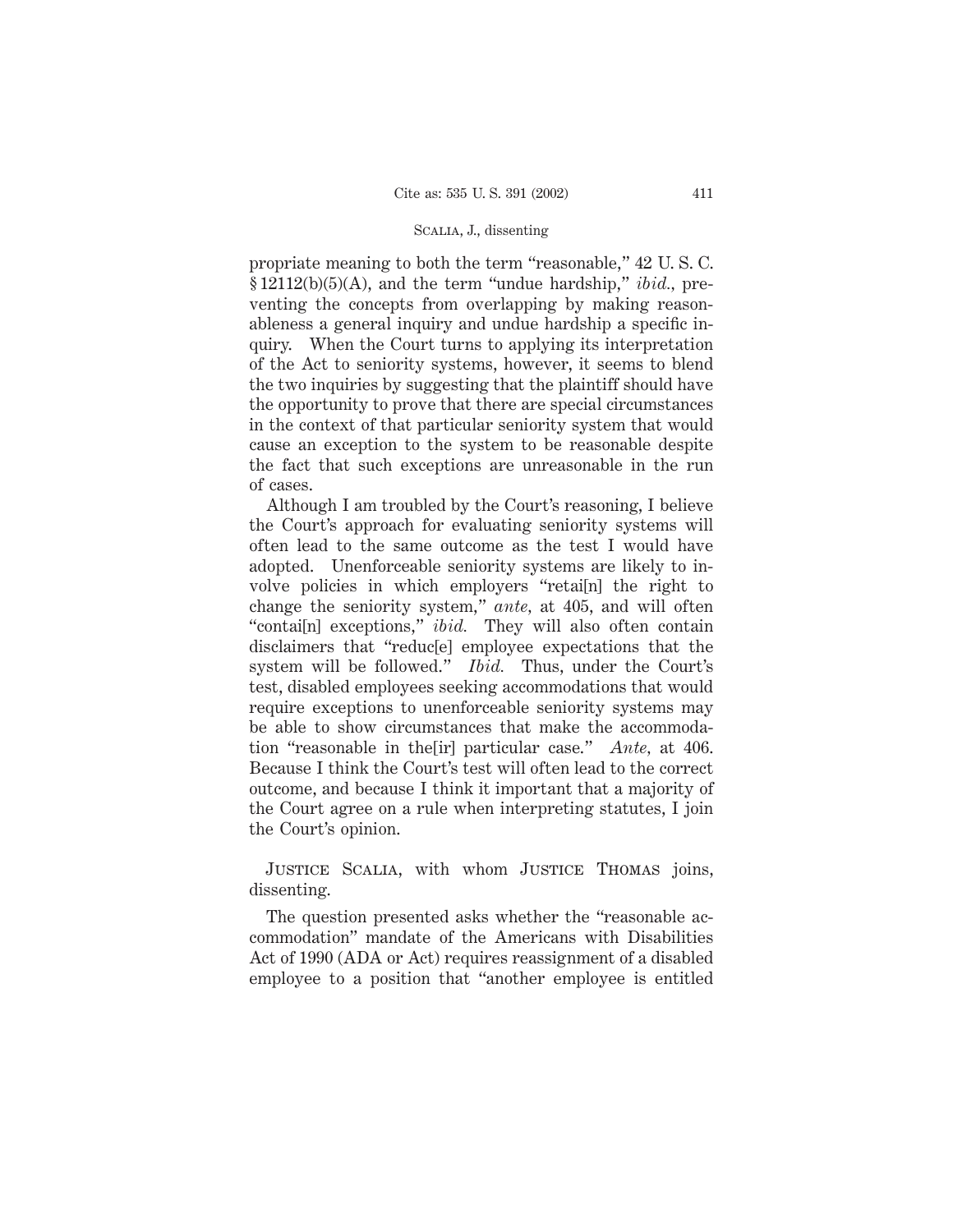propriate meaning to both the term "reasonable," 42 U. S. C. § 12112(b)(5)(A), and the term "undue hardship," *ibid.,* preventing the concepts from overlapping by making reasonableness a general inquiry and undue hardship a specific inquiry. When the Court turns to applying its interpretation of the Act to seniority systems, however, it seems to blend the two inquiries by suggesting that the plaintiff should have the opportunity to prove that there are special circumstances in the context of that particular seniority system that would cause an exception to the system to be reasonable despite the fact that such exceptions are unreasonable in the run of cases.

Although I am troubled by the Court's reasoning, I believe the Court's approach for evaluating seniority systems will often lead to the same outcome as the test I would have adopted. Unenforceable seniority systems are likely to involve policies in which employers "retai[n] the right to change the seniority system," *ante,* at 405, and will often "contai<sup>[n]</sup> exceptions," *ibid.* They will also often contain disclaimers that "reduc[e] employee expectations that the system will be followed." *Ibid.* Thus, under the Court's test, disabled employees seeking accommodations that would require exceptions to unenforceable seniority systems may be able to show circumstances that make the accommodation "reasonable in the[ir] particular case." *Ante,* at 406. Because I think the Court's test will often lead to the correct outcome, and because I think it important that a majority of the Court agree on a rule when interpreting statutes, I join the Court's opinion.

Justice Scalia, with whom Justice Thomas joins, dissenting.

The question presented asks whether the "reasonable accommodation" mandate of the Americans with Disabilities Act of 1990 (ADA or Act) requires reassignment of a disabled employee to a position that "another employee is entitled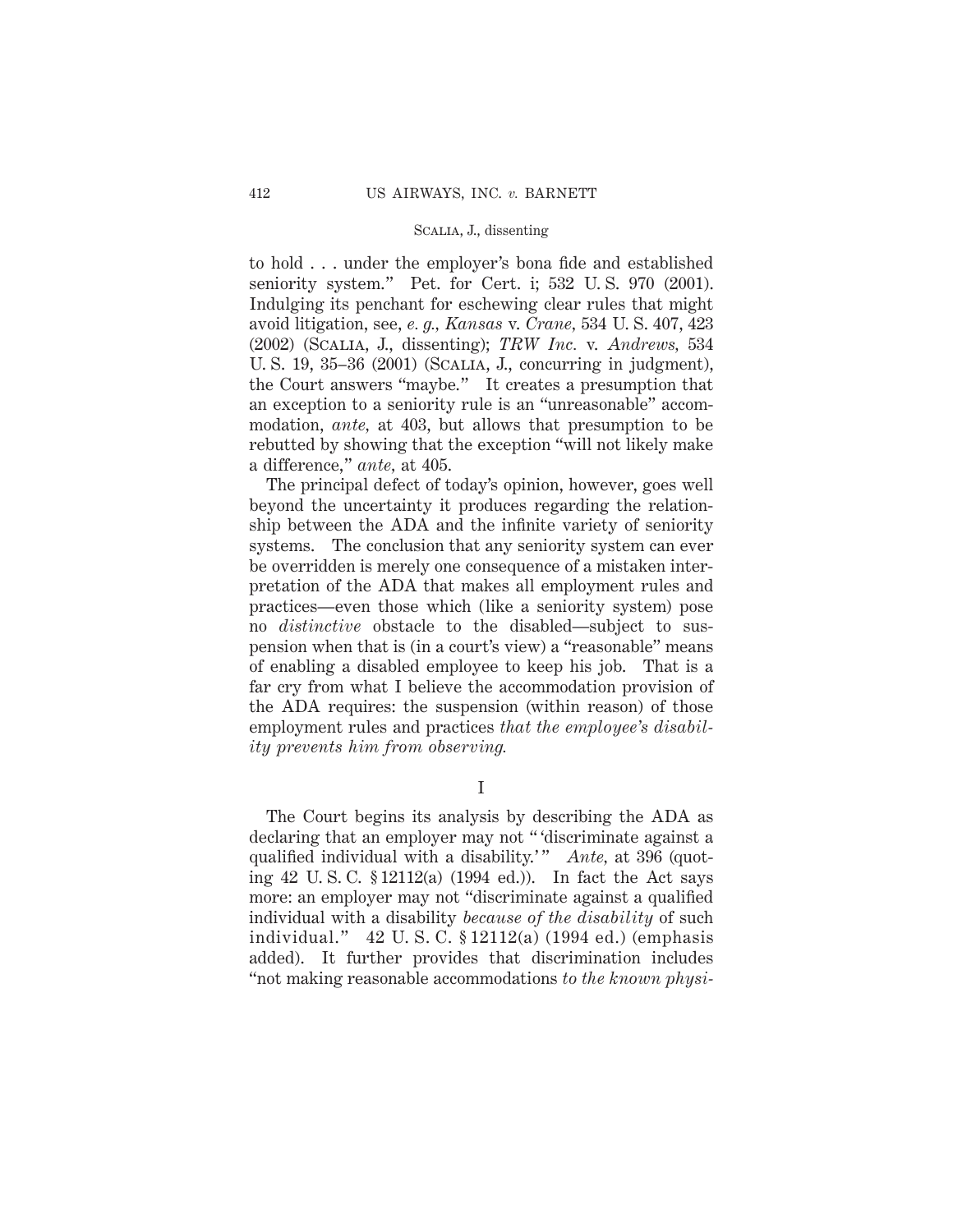to hold . . . under the employer's bona fide and established seniority system." Pet. for Cert. i; 532 U. S. 970 (2001). Indulging its penchant for eschewing clear rules that might avoid litigation, see, *e. g., Kansas* v. *Crane,* 534 U. S. 407, 423 (2002) (Scalia, J., dissenting); *TRW Inc.* v. *Andrews,* 534 U. S. 19, 35–36 (2001) (Scalia, J., concurring in judgment), the Court answers "maybe." It creates a presumption that an exception to a seniority rule is an "unreasonable" accommodation, *ante,* at 403, but allows that presumption to be rebutted by showing that the exception "will not likely make a difference," *ante,* at 405.

The principal defect of today's opinion, however, goes well beyond the uncertainty it produces regarding the relationship between the ADA and the infinite variety of seniority systems. The conclusion that any seniority system can ever be overridden is merely one consequence of a mistaken interpretation of the ADA that makes all employment rules and practices—even those which (like a seniority system) pose no *distinctive* obstacle to the disabled—subject to suspension when that is (in a court's view) a "reasonable" means of enabling a disabled employee to keep his job. That is a far cry from what I believe the accommodation provision of the ADA requires: the suspension (within reason) of those employment rules and practices *that the employee's disability prevents him from observing.*

I

The Court begins its analysis by describing the ADA as declaring that an employer may not " 'discriminate against a qualified individual with a disability.'" *Ante*, at 396 (quoting 42 U. S. C. § 12112(a) (1994 ed.)). In fact the Act says more: an employer may not "discriminate against a qualified individual with a disability *because of the disability* of such individual." 42 U. S. C. § 12112(a) (1994 ed.) (emphasis added). It further provides that discrimination includes "not making reasonable accommodations *to the known physi-*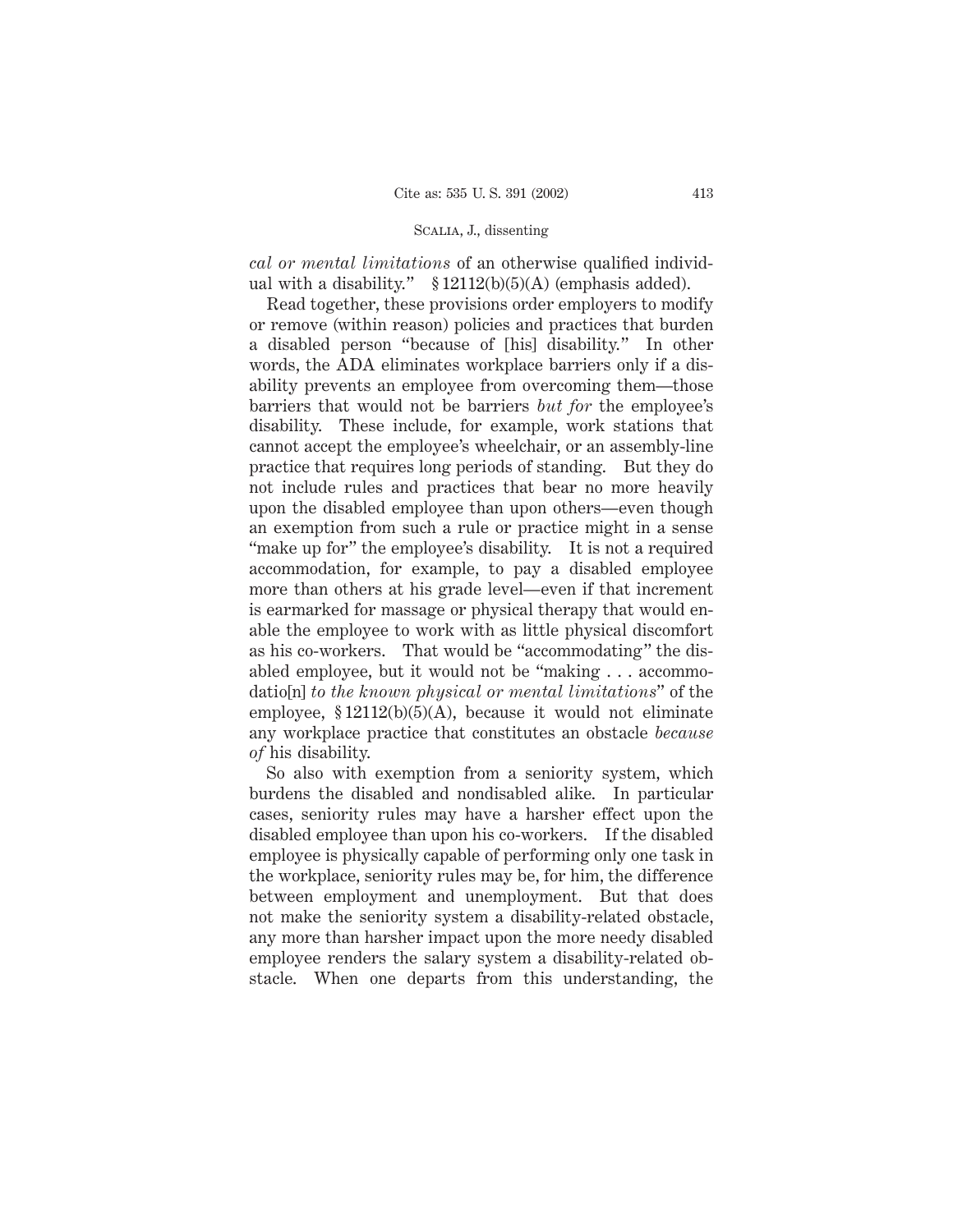*cal or mental limitations* of an otherwise qualified individual with a disability."  $$12112(b)(5)(A)$  (emphasis added).

Read together, these provisions order employers to modify or remove (within reason) policies and practices that burden a disabled person "because of [his] disability." In other words, the ADA eliminates workplace barriers only if a disability prevents an employee from overcoming them—those barriers that would not be barriers *but for* the employee's disability. These include, for example, work stations that cannot accept the employee's wheelchair, or an assembly-line practice that requires long periods of standing. But they do not include rules and practices that bear no more heavily upon the disabled employee than upon others—even though an exemption from such a rule or practice might in a sense "make up for" the employee's disability. It is not a required accommodation, for example, to pay a disabled employee more than others at his grade level—even if that increment is earmarked for massage or physical therapy that would enable the employee to work with as little physical discomfort as his co-workers. That would be "accommodating" the disabled employee, but it would not be "making . . . accommodatio[n] *to the known physical or mental limitations*" of the employee,  $$12112(b)(5)(A)$ , because it would not eliminate any workplace practice that constitutes an obstacle *because of* his disability.

So also with exemption from a seniority system, which burdens the disabled and nondisabled alike. In particular cases, seniority rules may have a harsher effect upon the disabled employee than upon his co-workers. If the disabled employee is physically capable of performing only one task in the workplace, seniority rules may be, for him, the difference between employment and unemployment. But that does not make the seniority system a disability-related obstacle, any more than harsher impact upon the more needy disabled employee renders the salary system a disability-related obstacle. When one departs from this understanding, the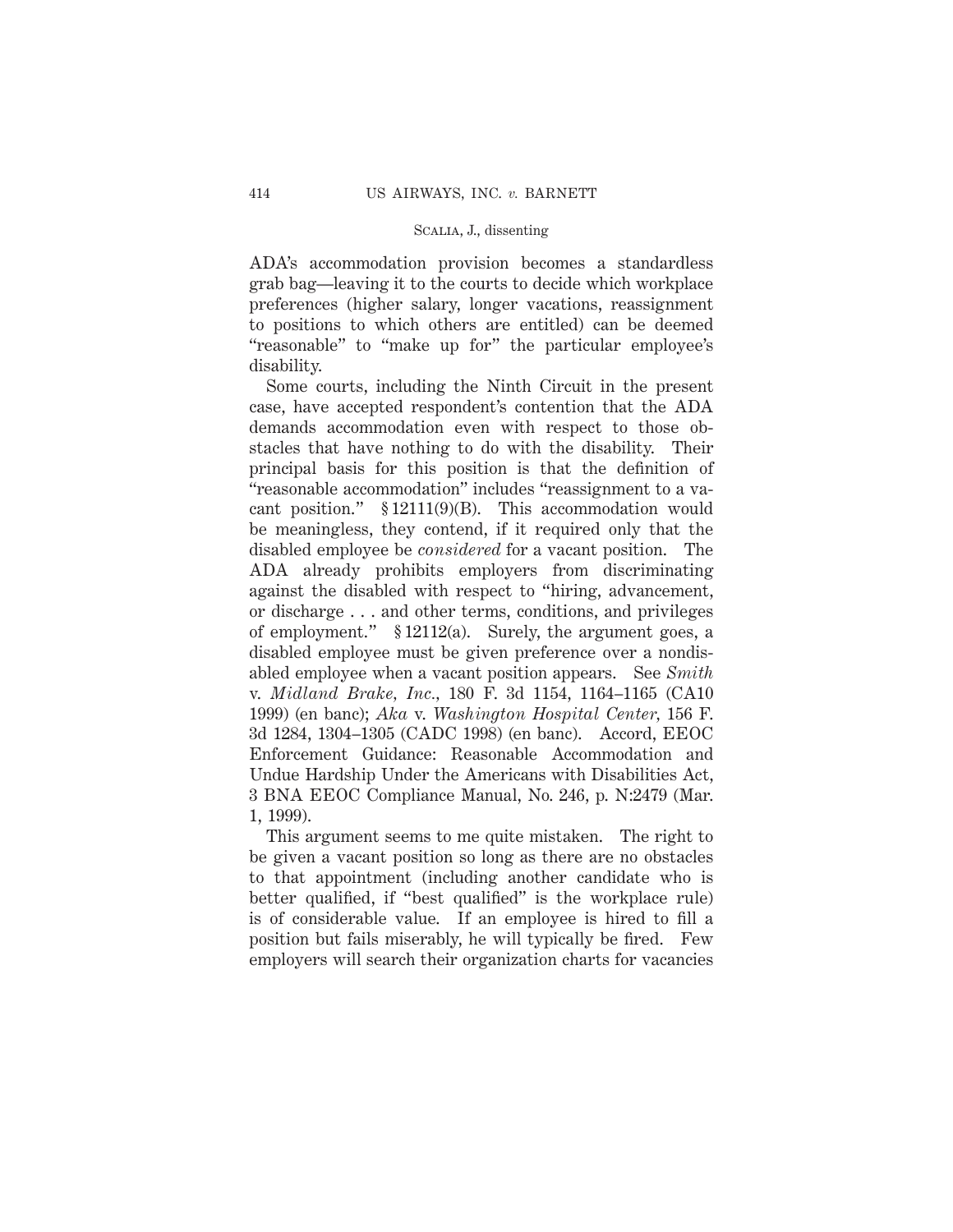ADA's accommodation provision becomes a standardless grab bag—leaving it to the courts to decide which workplace preferences (higher salary, longer vacations, reassignment to positions to which others are entitled) can be deemed "reasonable" to "make up for" the particular employee's disability.

Some courts, including the Ninth Circuit in the present case, have accepted respondent's contention that the ADA demands accommodation even with respect to those obstacles that have nothing to do with the disability. Their principal basis for this position is that the definition of "reasonable accommodation" includes "reassignment to a vacant position."  $$12111(9)(B)$ . This accommodation would be meaningless, they contend, if it required only that the disabled employee be *considered* for a vacant position. The ADA already prohibits employers from discriminating against the disabled with respect to "hiring, advancement, or discharge . . . and other terms, conditions, and privileges of employment." § 12112(a). Surely, the argument goes, a disabled employee must be given preference over a nondisabled employee when a vacant position appears. See *Smith* v. *Midland Brake, Inc.,* 180 F. 3d 1154, 1164–1165 (CA10 1999) (en banc); *Aka* v. *Washington Hospital Center,* 156 F. 3d 1284, 1304–1305 (CADC 1998) (en banc). Accord, EEOC Enforcement Guidance: Reasonable Accommodation and Undue Hardship Under the Americans with Disabilities Act, 3 BNA EEOC Compliance Manual, No. 246, p. N:2479 (Mar. 1, 1999).

This argument seems to me quite mistaken. The right to be given a vacant position so long as there are no obstacles to that appointment (including another candidate who is better qualified, if "best qualified" is the workplace rule) is of considerable value. If an employee is hired to fill a position but fails miserably, he will typically be fired. Few employers will search their organization charts for vacancies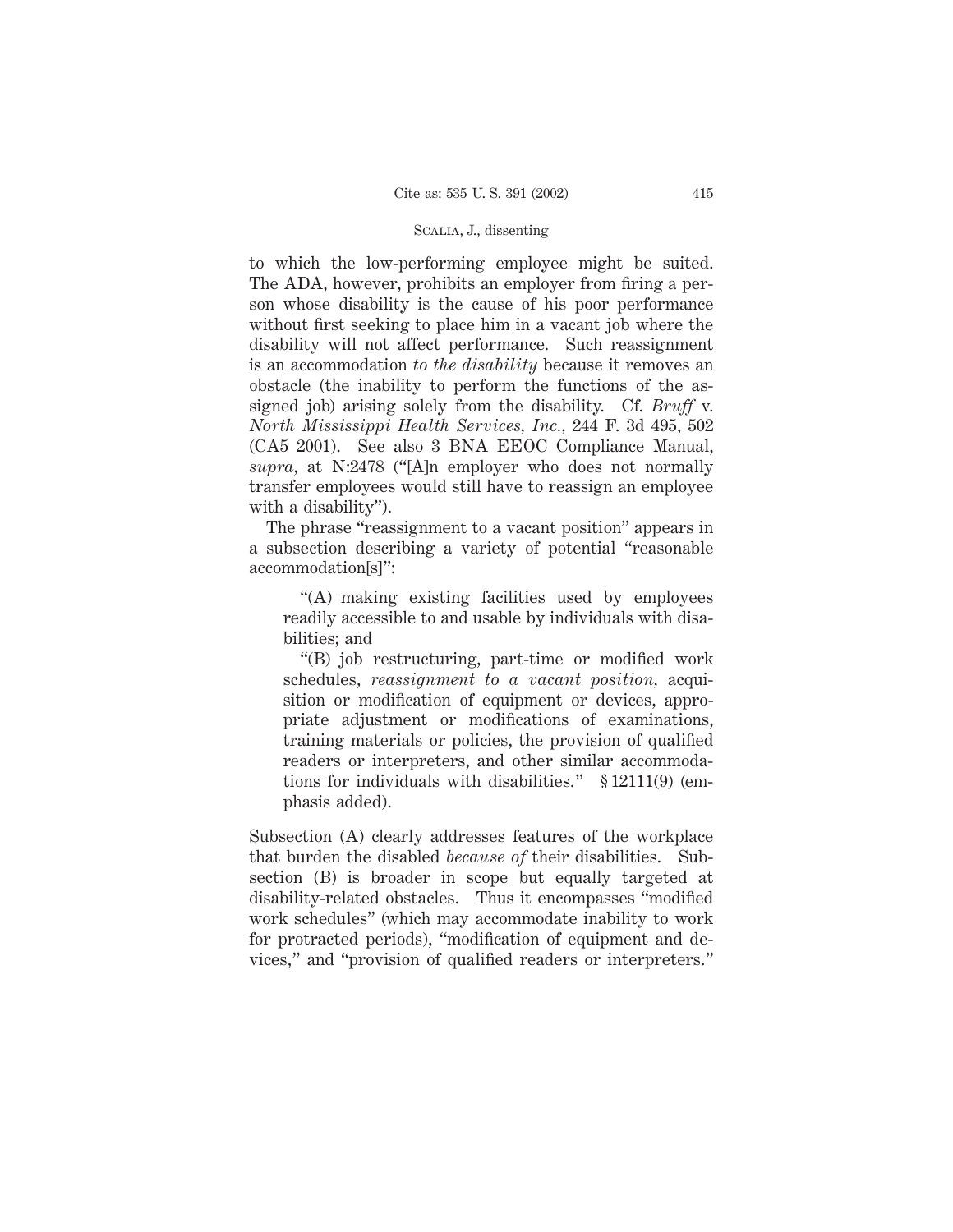to which the low-performing employee might be suited. The ADA, however, prohibits an employer from firing a person whose disability is the cause of his poor performance without first seeking to place him in a vacant job where the disability will not affect performance. Such reassignment is an accommodation *to the disability* because it removes an obstacle (the inability to perform the functions of the assigned job) arising solely from the disability. Cf. *Bruff* v. *North Mississippi Health Services, Inc.,* 244 F. 3d 495, 502 (CA5 2001). See also 3 BNA EEOC Compliance Manual, *supra,* at N:2478 ("[A]n employer who does not normally transfer employees would still have to reassign an employee with a disability").

The phrase "reassignment to a vacant position" appears in a subsection describing a variety of potential "reasonable accommodation[s]":

"(A) making existing facilities used by employees readily accessible to and usable by individuals with disabilities; and

"(B) job restructuring, part-time or modified work schedules, *reassignment to a vacant position,* acquisition or modification of equipment or devices, appropriate adjustment or modifications of examinations, training materials or policies, the provision of qualified readers or interpreters, and other similar accommodations for individuals with disabilities." § 12111(9) (emphasis added).

Subsection (A) clearly addresses features of the workplace that burden the disabled *because of* their disabilities. Subsection (B) is broader in scope but equally targeted at disability-related obstacles. Thus it encompasses "modified work schedules" (which may accommodate inability to work for protracted periods), "modification of equipment and devices," and "provision of qualified readers or interpreters."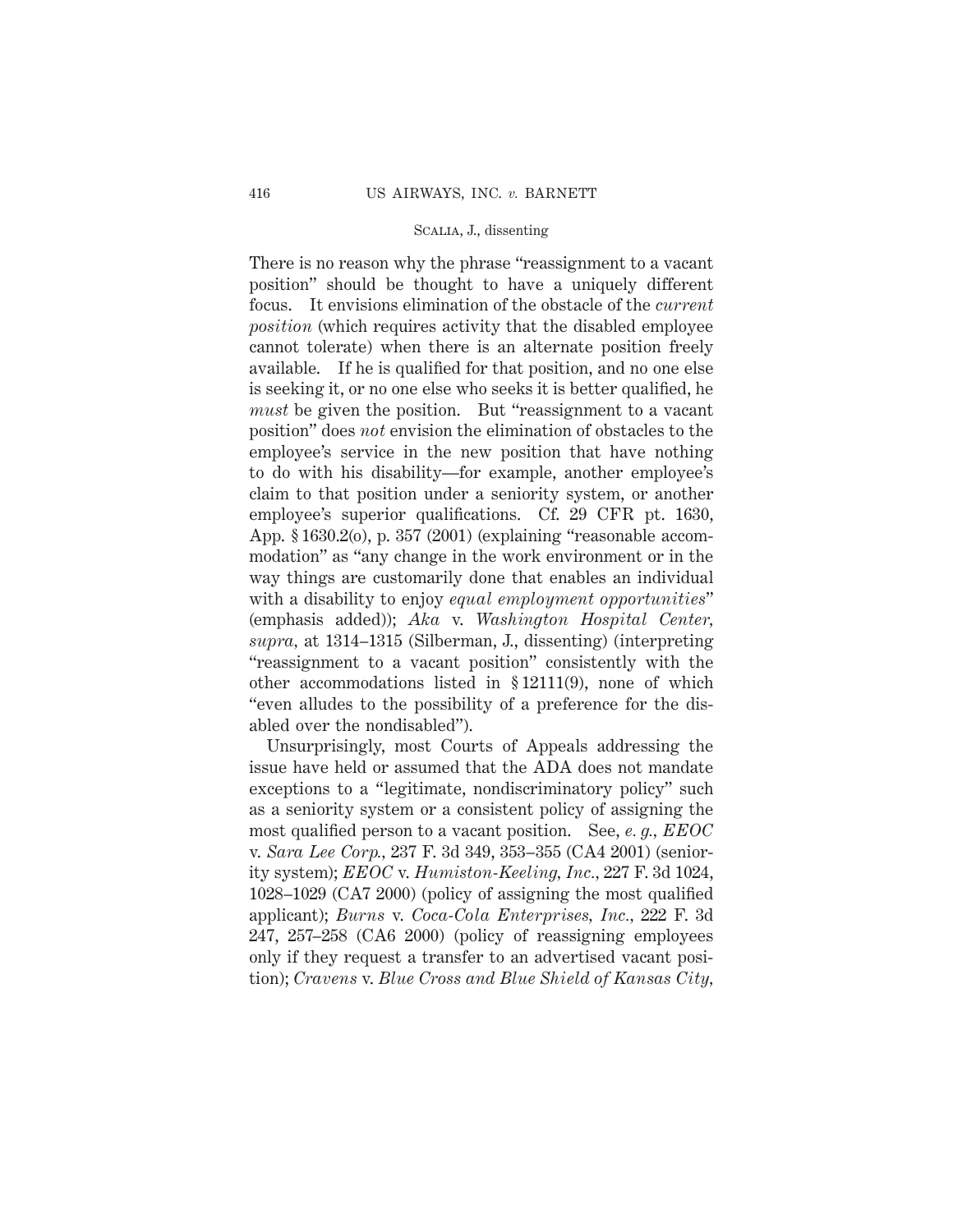There is no reason why the phrase "reassignment to a vacant position" should be thought to have a uniquely different focus. It envisions elimination of the obstacle of the *current position* (which requires activity that the disabled employee cannot tolerate) when there is an alternate position freely available. If he is qualified for that position, and no one else is seeking it, or no one else who seeks it is better qualified, he *must* be given the position. But "reassignment to a vacant position" does *not* envision the elimination of obstacles to the employee's service in the new position that have nothing to do with his disability—for example, another employee's claim to that position under a seniority system, or another employee's superior qualifications. Cf. 29 CFR pt. 1630, App. § 1630.2(o), p. 357 (2001) (explaining "reasonable accommodation" as "any change in the work environment or in the way things are customarily done that enables an individual with a disability to enjoy *equal employment opportunities*" (emphasis added)); *Aka* v. *Washington Hospital Center, supra,* at 1314–1315 (Silberman, J., dissenting) (interpreting "reassignment to a vacant position" consistently with the other accommodations listed in § 12111(9), none of which "even alludes to the possibility of a preference for the disabled over the nondisabled").

Unsurprisingly, most Courts of Appeals addressing the issue have held or assumed that the ADA does not mandate exceptions to a "legitimate, nondiscriminatory policy" such as a seniority system or a consistent policy of assigning the most qualified person to a vacant position. See, *e. g., EEOC* v. *Sara Lee Corp.,* 237 F. 3d 349, 353–355 (CA4 2001) (seniority system); *EEOC* v. *Humiston-Keeling, Inc.,* 227 F. 3d 1024, 1028–1029 (CA7 2000) (policy of assigning the most qualified applicant); *Burns* v. *Coca-Cola Enterprises, Inc.,* 222 F. 3d 247, 257–258 (CA6 2000) (policy of reassigning employees only if they request a transfer to an advertised vacant position); *Cravens* v. *Blue Cross and Blue Shield of Kansas City,*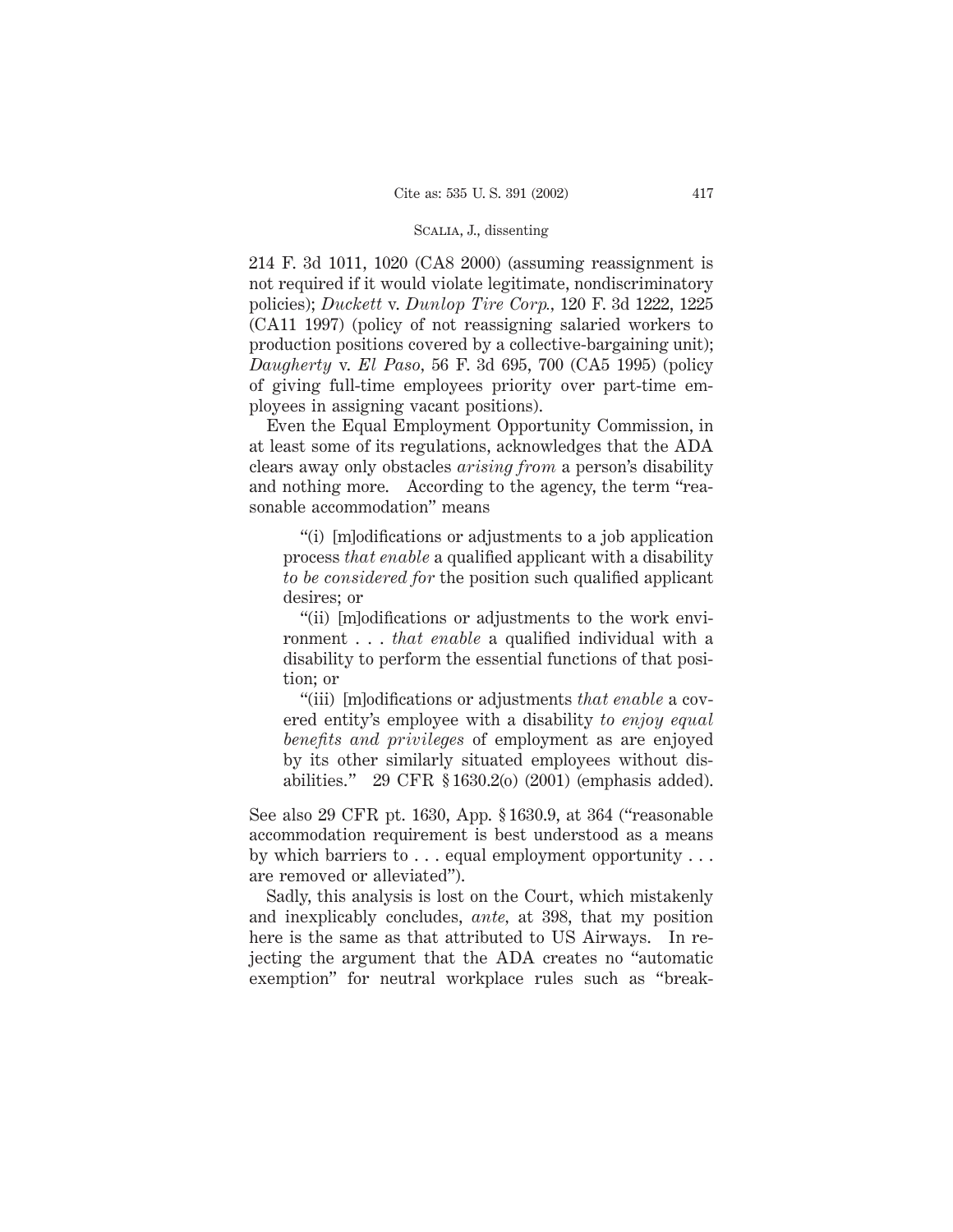214 F. 3d 1011, 1020 (CA8 2000) (assuming reassignment is not required if it would violate legitimate, nondiscriminatory policies); *Duckett* v. *Dunlop Tire Corp.,* 120 F. 3d 1222, 1225 (CA11 1997) (policy of not reassigning salaried workers to production positions covered by a collective-bargaining unit); *Daugherty* v. *El Paso,* 56 F. 3d 695, 700 (CA5 1995) (policy of giving full-time employees priority over part-time employees in assigning vacant positions).

Even the Equal Employment Opportunity Commission, in at least some of its regulations, acknowledges that the ADA clears away only obstacles *arising from* a person's disability and nothing more. According to the agency, the term "reasonable accommodation" means

"(i) [m]odifications or adjustments to a job application process *that enable* a qualified applicant with a disability *to be considered for* the position such qualified applicant desires; or

"(ii) [m]odifications or adjustments to the work environment . . . *that enable* a qualified individual with a disability to perform the essential functions of that position; or

"(iii) [m]odifications or adjustments *that enable* a covered entity's employee with a disability *to enjoy equal benefits and privileges* of employment as are enjoyed by its other similarly situated employees without disabilities." 29 CFR § 1630.2(o) (2001) (emphasis added).

See also 29 CFR pt. 1630, App. § 1630.9, at 364 ("reasonable accommodation requirement is best understood as a means by which barriers to . . . equal employment opportunity... are removed or alleviated").

Sadly, this analysis is lost on the Court, which mistakenly and inexplicably concludes, *ante,* at 398, that my position here is the same as that attributed to US Airways. In rejecting the argument that the ADA creates no "automatic exemption" for neutral workplace rules such as "break-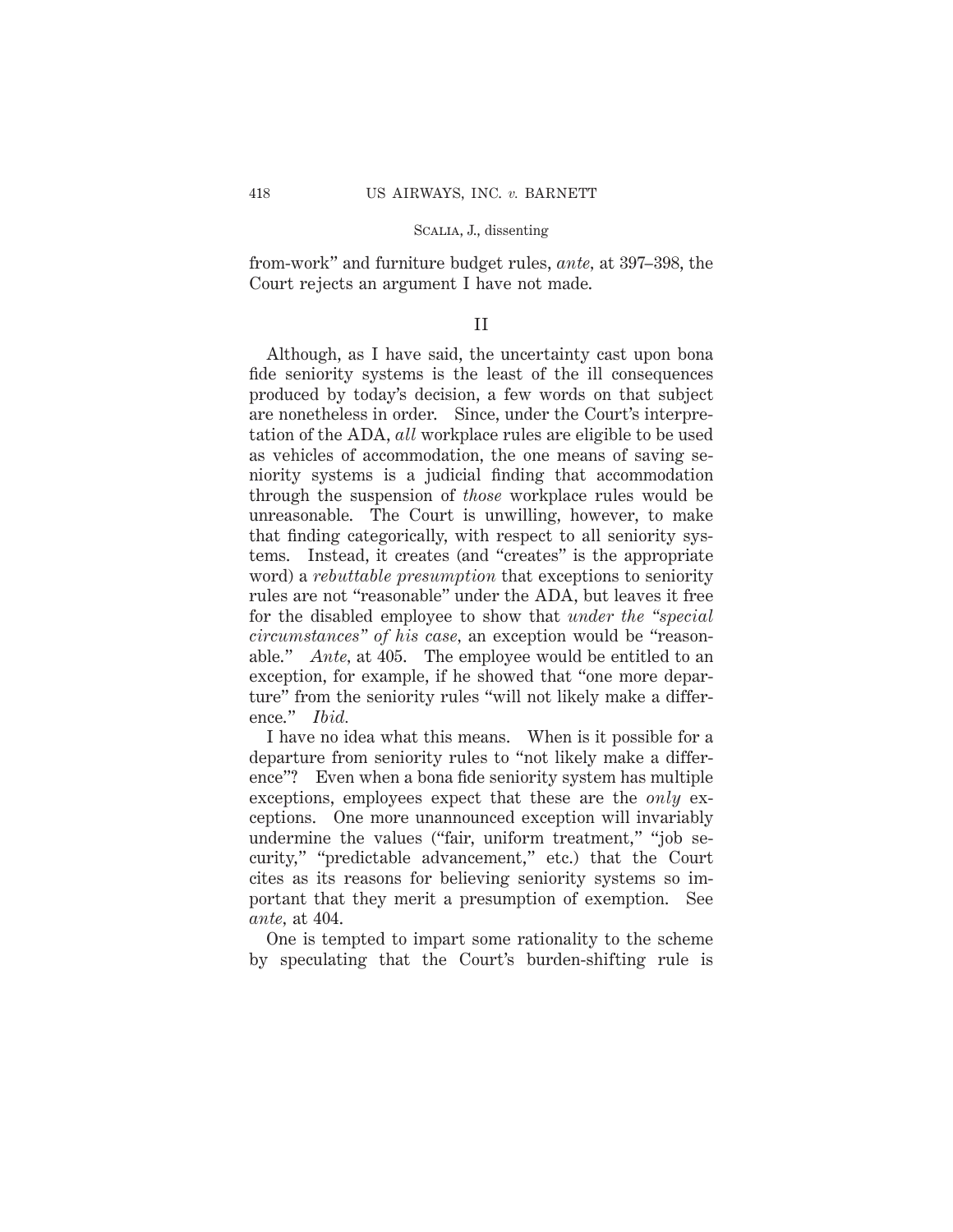from-work" and furniture budget rules, *ante,* at 397–398, the Court rejects an argument I have not made.

### II

Although, as I have said, the uncertainty cast upon bona fide seniority systems is the least of the ill consequences produced by today's decision, a few words on that subject are nonetheless in order. Since, under the Court's interpretation of the ADA, *all* workplace rules are eligible to be used as vehicles of accommodation, the one means of saving seniority systems is a judicial finding that accommodation through the suspension of *those* workplace rules would be unreasonable. The Court is unwilling, however, to make that finding categorically, with respect to all seniority systems. Instead, it creates (and "creates" is the appropriate word) a *rebuttable presumption* that exceptions to seniority rules are not "reasonable" under the ADA, but leaves it free for the disabled employee to show that *under the "special circumstances" of his case,* an exception would be "reasonable." *Ante,* at 405. The employee would be entitled to an exception, for example, if he showed that "one more departure" from the seniority rules "will not likely make a difference." *Ibid.*

I have no idea what this means. When is it possible for a departure from seniority rules to "not likely make a difference"? Even when a bona fide seniority system has multiple exceptions, employees expect that these are the *only* exceptions. One more unannounced exception will invariably undermine the values ("fair, uniform treatment," "job security," "predictable advancement," etc.) that the Court cites as its reasons for believing seniority systems so important that they merit a presumption of exemption. See *ante,* at 404.

One is tempted to impart some rationality to the scheme by speculating that the Court's burden-shifting rule is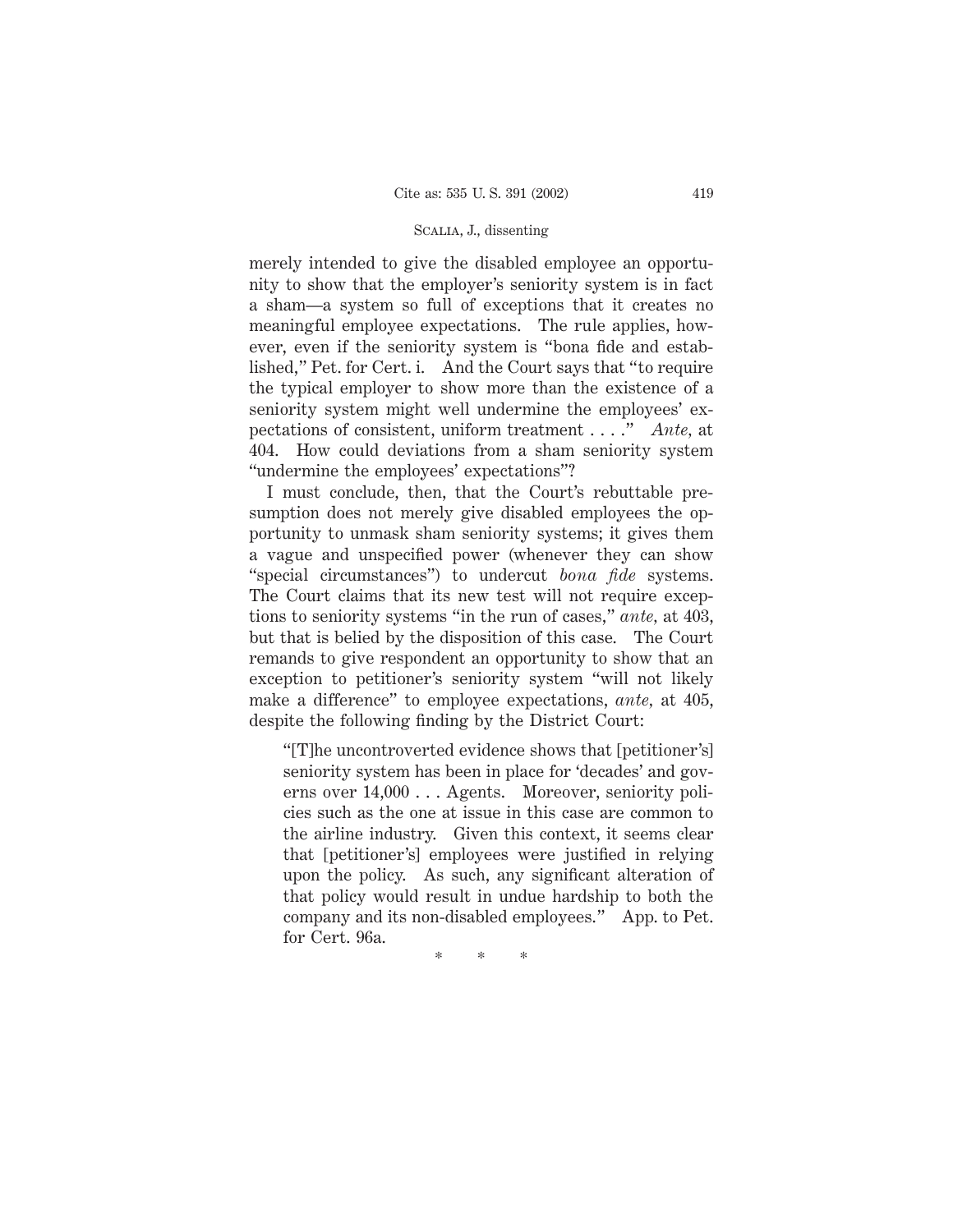merely intended to give the disabled employee an opportunity to show that the employer's seniority system is in fact a sham—a system so full of exceptions that it creates no meaningful employee expectations. The rule applies, however, even if the seniority system is "bona fide and established," Pet. for Cert. i. And the Court says that "to require the typical employer to show more than the existence of a seniority system might well undermine the employees' expectations of consistent, uniform treatment . . . ." *Ante,* at 404. How could deviations from a sham seniority system "undermine the employees' expectations"?

I must conclude, then, that the Court's rebuttable presumption does not merely give disabled employees the opportunity to unmask sham seniority systems; it gives them a vague and unspecified power (whenever they can show "special circumstances") to undercut *bona fide* systems. The Court claims that its new test will not require exceptions to seniority systems "in the run of cases," *ante,* at 403, but that is belied by the disposition of this case. The Court remands to give respondent an opportunity to show that an exception to petitioner's seniority system "will not likely make a difference" to employee expectations, *ante,* at 405, despite the following finding by the District Court:

"[T]he uncontroverted evidence shows that [petitioner's] seniority system has been in place for 'decades' and governs over 14,000 . . . Agents. Moreover, seniority policies such as the one at issue in this case are common to the airline industry. Given this context, it seems clear that [petitioner's] employees were justified in relying upon the policy. As such, any significant alteration of that policy would result in undue hardship to both the company and its non-disabled employees." App. to Pet. for Cert. 96a.

\*\*\*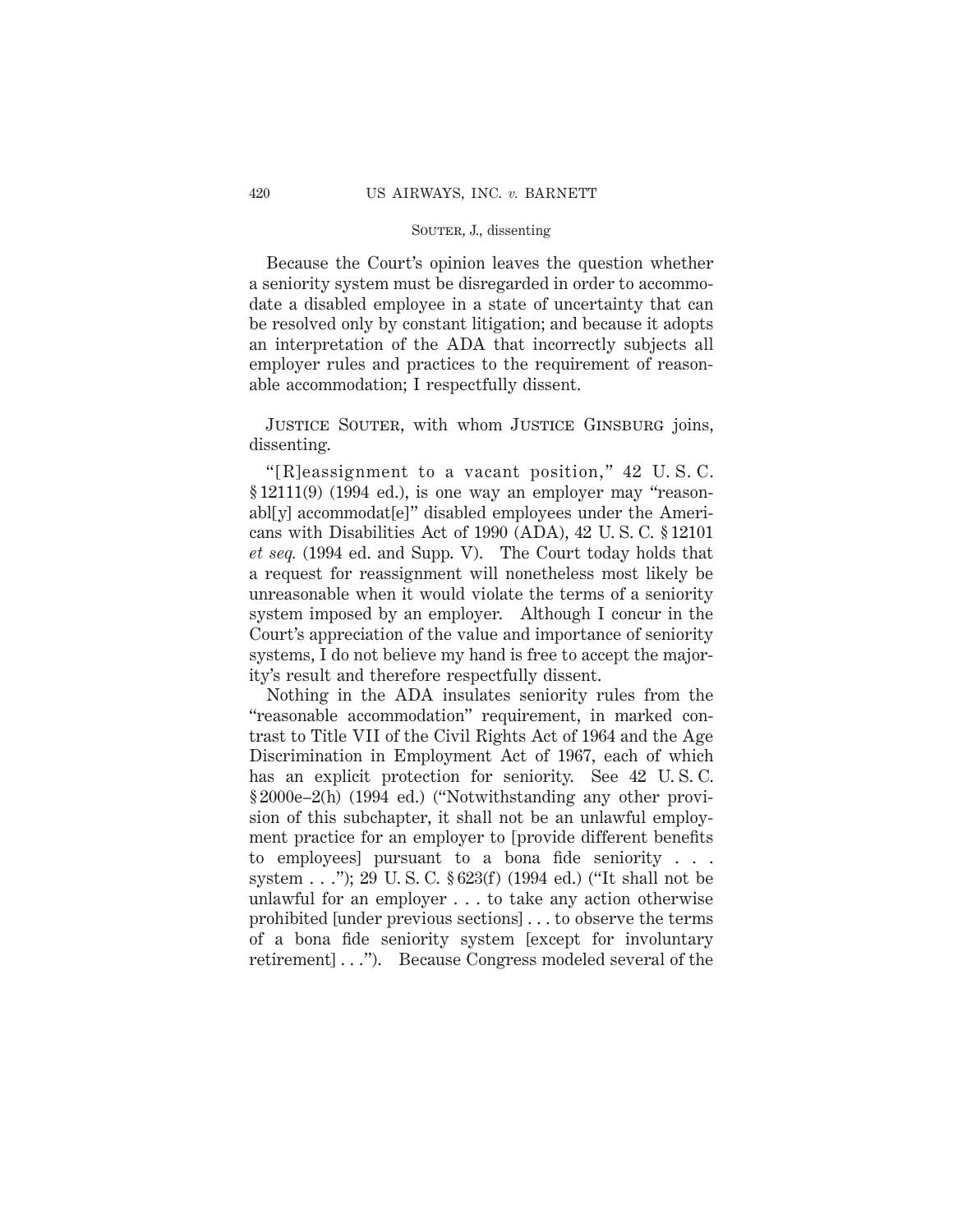Because the Court's opinion leaves the question whether a seniority system must be disregarded in order to accommodate a disabled employee in a state of uncertainty that can be resolved only by constant litigation; and because it adopts an interpretation of the ADA that incorrectly subjects all employer rules and practices to the requirement of reasonable accommodation; I respectfully dissent.

Justice Souter, with whom Justice Ginsburg joins, dissenting.

"[R]eassignment to a vacant position," 42 U. S. C. § 12111(9) (1994 ed.), is one way an employer may "reasonabl[y] accommodat[e]" disabled employees under the Americans with Disabilities Act of 1990 (ADA), 42 U. S. C. § 12101 *et seq.* (1994 ed. and Supp. V). The Court today holds that a request for reassignment will nonetheless most likely be unreasonable when it would violate the terms of a seniority system imposed by an employer. Although I concur in the Court's appreciation of the value and importance of seniority systems, I do not believe my hand is free to accept the majority's result and therefore respectfully dissent.

Nothing in the ADA insulates seniority rules from the "reasonable accommodation" requirement, in marked contrast to Title VII of the Civil Rights Act of 1964 and the Age Discrimination in Employment Act of 1967, each of which has an explicit protection for seniority. See 42 U. S. C. § 2000e–2(h) (1994 ed.) ("Notwithstanding any other provision of this subchapter, it shall not be an unlawful employment practice for an employer to [provide different benefits to employees] pursuant to a bona fide seniority . . . system . . ."); 29 U. S. C. § 623(f) (1994 ed.) ("It shall not be unlawful for an employer . . . to take any action otherwise prohibited [under previous sections] . . . to observe the terms of a bona fide seniority system [except for involuntary retirement] . . ."). Because Congress modeled several of the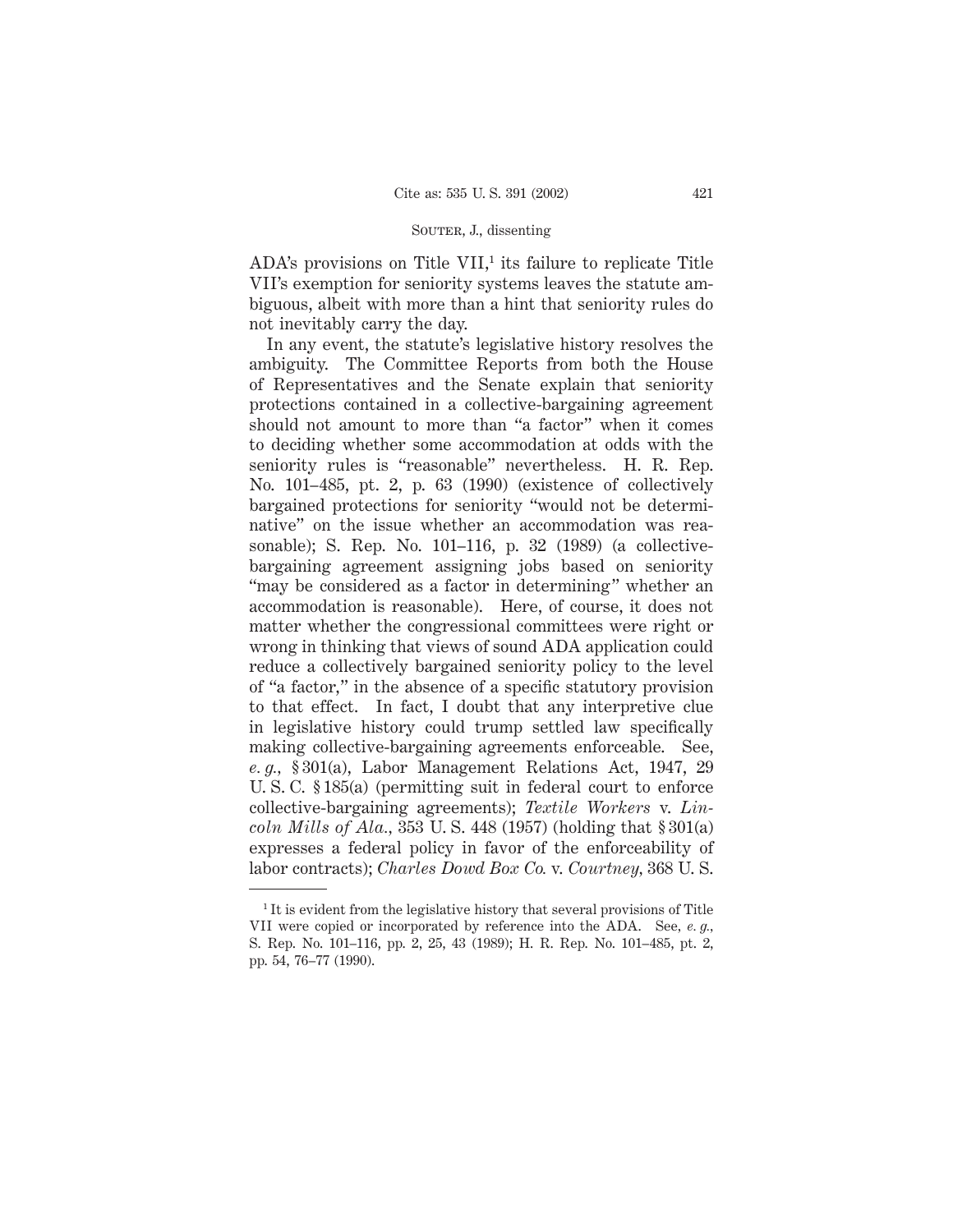ADA's provisions on Title VII, $<sup>1</sup>$  its failure to replicate Title</sup> VII's exemption for seniority systems leaves the statute ambiguous, albeit with more than a hint that seniority rules do not inevitably carry the day.

In any event, the statute's legislative history resolves the ambiguity. The Committee Reports from both the House of Representatives and the Senate explain that seniority protections contained in a collective-bargaining agreement should not amount to more than "a factor" when it comes to deciding whether some accommodation at odds with the seniority rules is "reasonable" nevertheless. H. R. Rep. No. 101–485, pt. 2, p. 63 (1990) (existence of collectively bargained protections for seniority "would not be determinative" on the issue whether an accommodation was reasonable); S. Rep. No. 101–116, p. 32 (1989) (a collectivebargaining agreement assigning jobs based on seniority "may be considered as a factor in determining" whether an accommodation is reasonable). Here, of course, it does not matter whether the congressional committees were right or wrong in thinking that views of sound ADA application could reduce a collectively bargained seniority policy to the level of "a factor," in the absence of a specific statutory provision to that effect. In fact, I doubt that any interpretive clue in legislative history could trump settled law specifically making collective-bargaining agreements enforceable. See, *e. g.,* § 301(a), Labor Management Relations Act, 1947, 29 U. S. C. § 185(a) (permitting suit in federal court to enforce collective-bargaining agreements); *Textile Workers* v. *Lincoln Mills of Ala.,* 353 U. S. 448 (1957) (holding that § 301(a) expresses a federal policy in favor of the enforceability of labor contracts); *Charles Dowd Box Co.* v. *Courtney,* 368 U. S.

<sup>&</sup>lt;sup>1</sup>It is evident from the legislative history that several provisions of Title VII were copied or incorporated by reference into the ADA. See*, e. g.,* S. Rep. No. 101–116, pp. 2, 25, 43 (1989); H. R. Rep. No. 101–485, pt. 2, pp. 54, 76–77 (1990).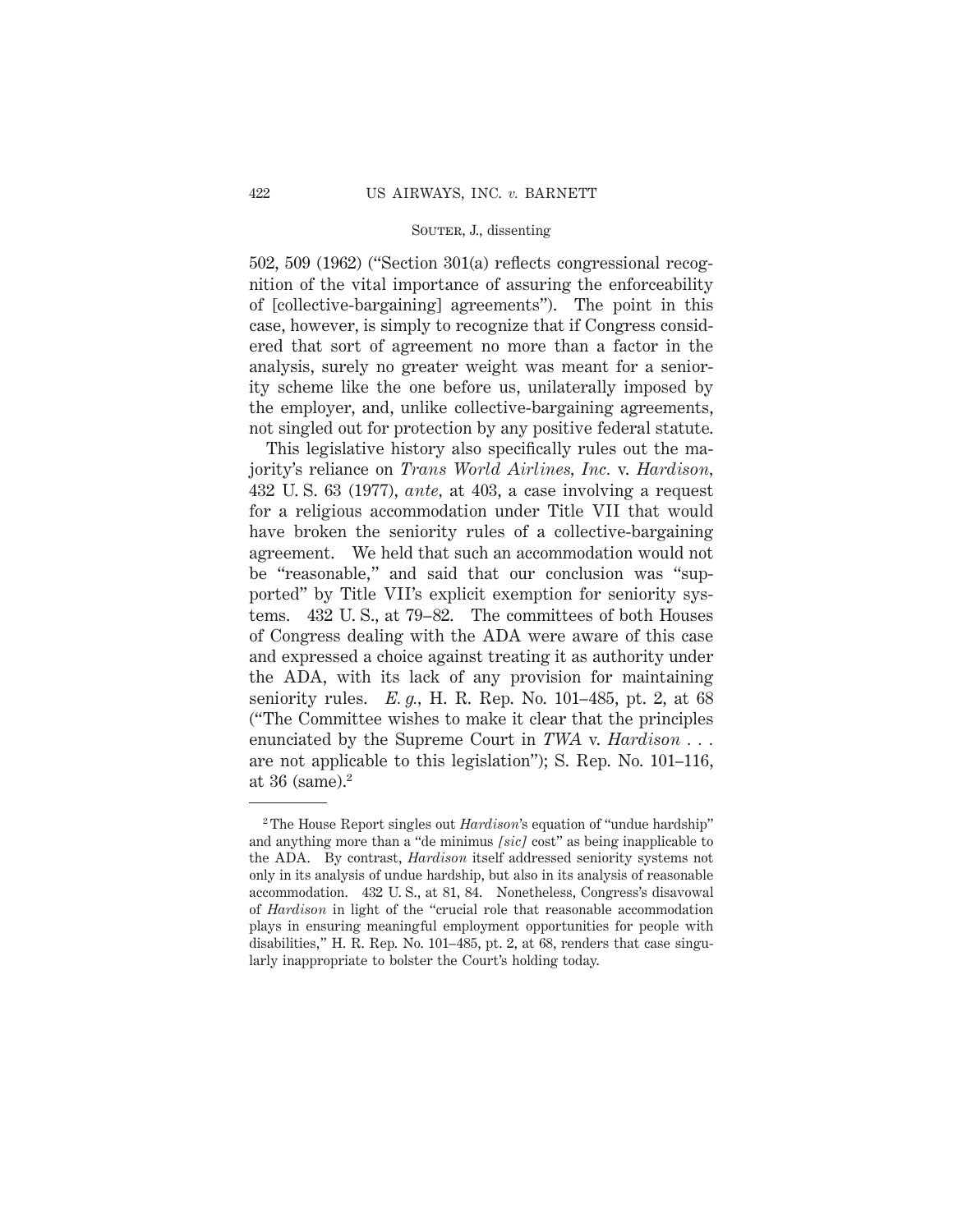502, 509 (1962) ("Section 301(a) reflects congressional recognition of the vital importance of assuring the enforceability of [collective-bargaining] agreements"). The point in this case, however, is simply to recognize that if Congress considered that sort of agreement no more than a factor in the analysis, surely no greater weight was meant for a seniority scheme like the one before us, unilaterally imposed by the employer, and, unlike collective-bargaining agreements, not singled out for protection by any positive federal statute.

This legislative history also specifically rules out the majority's reliance on *Trans World Airlines, Inc.* v. *Hardison,* 432 U. S. 63 (1977), *ante,* at 403, a case involving a request for a religious accommodation under Title VII that would have broken the seniority rules of a collective-bargaining agreement. We held that such an accommodation would not be "reasonable," and said that our conclusion was "supported" by Title VII's explicit exemption for seniority systems. 432 U. S., at 79–82. The committees of both Houses of Congress dealing with the ADA were aware of this case and expressed a choice against treating it as authority under the ADA, with its lack of any provision for maintaining seniority rules. *E. g.,* H. R. Rep. No. 101–485, pt. 2, at 68 ("The Committee wishes to make it clear that the principles enunciated by the Supreme Court in *TWA* v. *Hardison . . .* are not applicable to this legislation"); S. Rep. No. 101–116, at 36 (same).2

<sup>2</sup> The House Report singles out *Hardison*'s equation of "undue hardship" and anything more than a "de minimus *[sic]* cost" as being inapplicable to the ADA. By contrast, *Hardison* itself addressed seniority systems not only in its analysis of undue hardship, but also in its analysis of reasonable accommodation. 432 U. S., at 81, 84. Nonetheless, Congress's disavowal of *Hardison* in light of the "crucial role that reasonable accommodation plays in ensuring meaningful employment opportunities for people with disabilities," H. R. Rep. No. 101–485, pt. 2, at 68, renders that case singularly inappropriate to bolster the Court's holding today.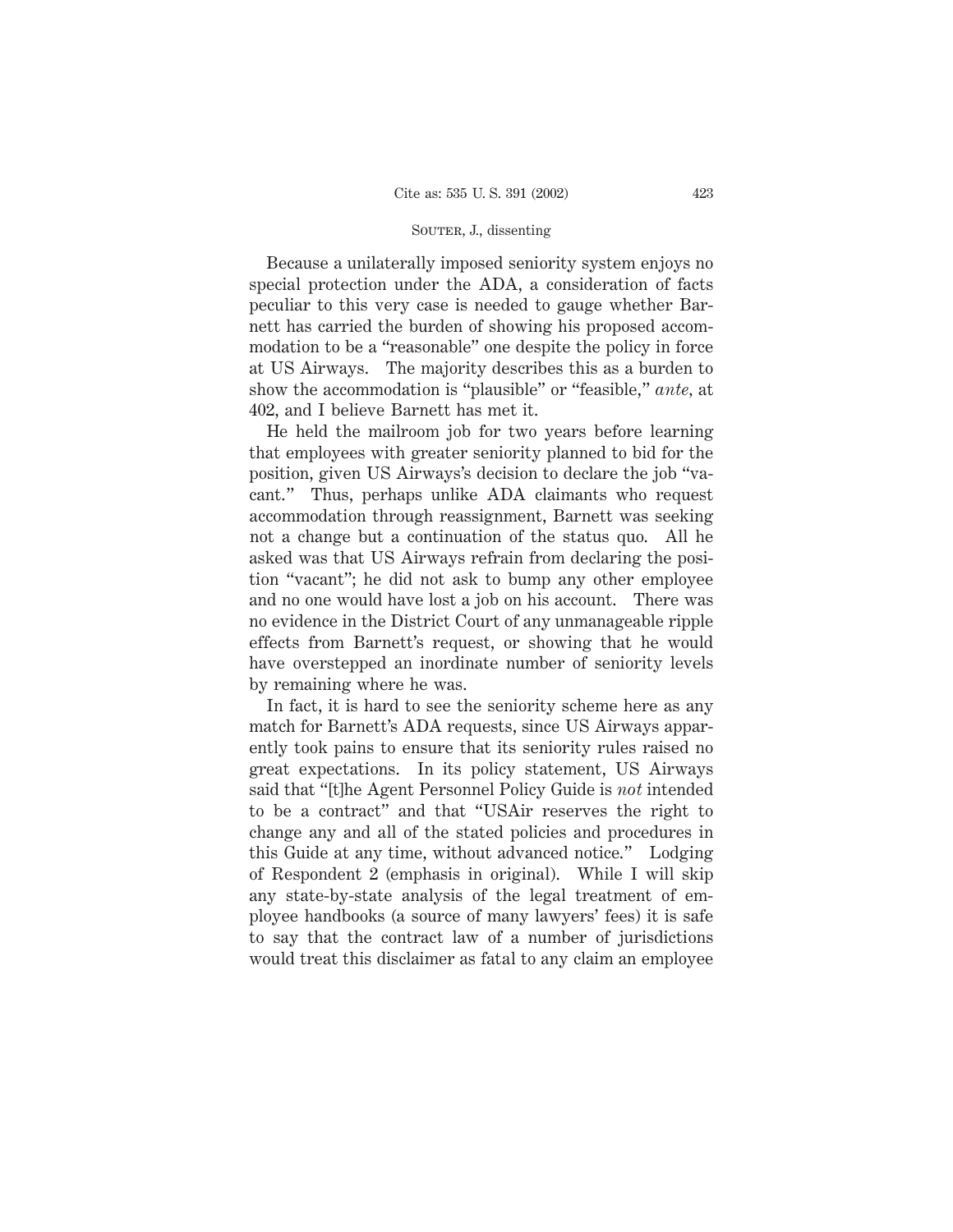Because a unilaterally imposed seniority system enjoys no special protection under the ADA, a consideration of facts peculiar to this very case is needed to gauge whether Barnett has carried the burden of showing his proposed accommodation to be a "reasonable" one despite the policy in force at US Airways. The majority describes this as a burden to show the accommodation is "plausible" or "feasible," *ante,* at 402, and I believe Barnett has met it.

He held the mailroom job for two years before learning that employees with greater seniority planned to bid for the position, given US Airways's decision to declare the job "vacant." Thus, perhaps unlike ADA claimants who request accommodation through reassignment, Barnett was seeking not a change but a continuation of the status quo. All he asked was that US Airways refrain from declaring the position "vacant"; he did not ask to bump any other employee and no one would have lost a job on his account. There was no evidence in the District Court of any unmanageable ripple effects from Barnett's request, or showing that he would have overstepped an inordinate number of seniority levels by remaining where he was.

In fact, it is hard to see the seniority scheme here as any match for Barnett's ADA requests, since US Airways apparently took pains to ensure that its seniority rules raised no great expectations. In its policy statement, US Airways said that "[t]he Agent Personnel Policy Guide is *not* intended to be a contract" and that "USAir reserves the right to change any and all of the stated policies and procedures in this Guide at any time, without advanced notice." Lodging of Respondent 2 (emphasis in original). While I will skip any state-by-state analysis of the legal treatment of employee handbooks (a source of many lawyers' fees) it is safe to say that the contract law of a number of jurisdictions would treat this disclaimer as fatal to any claim an employee